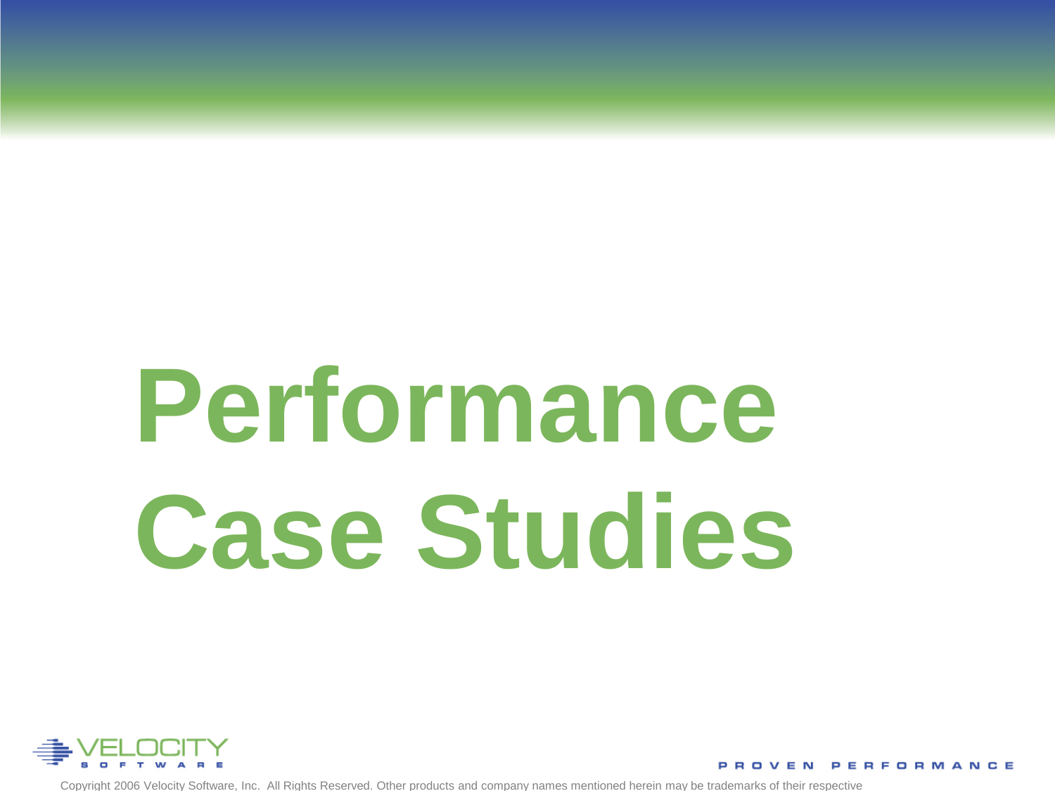# **Performance Case Studies**



Copyright 2006 Velocity Software, Inc. All Rights Reserved. Other products and company names mentioned herein may be trademarks of their respective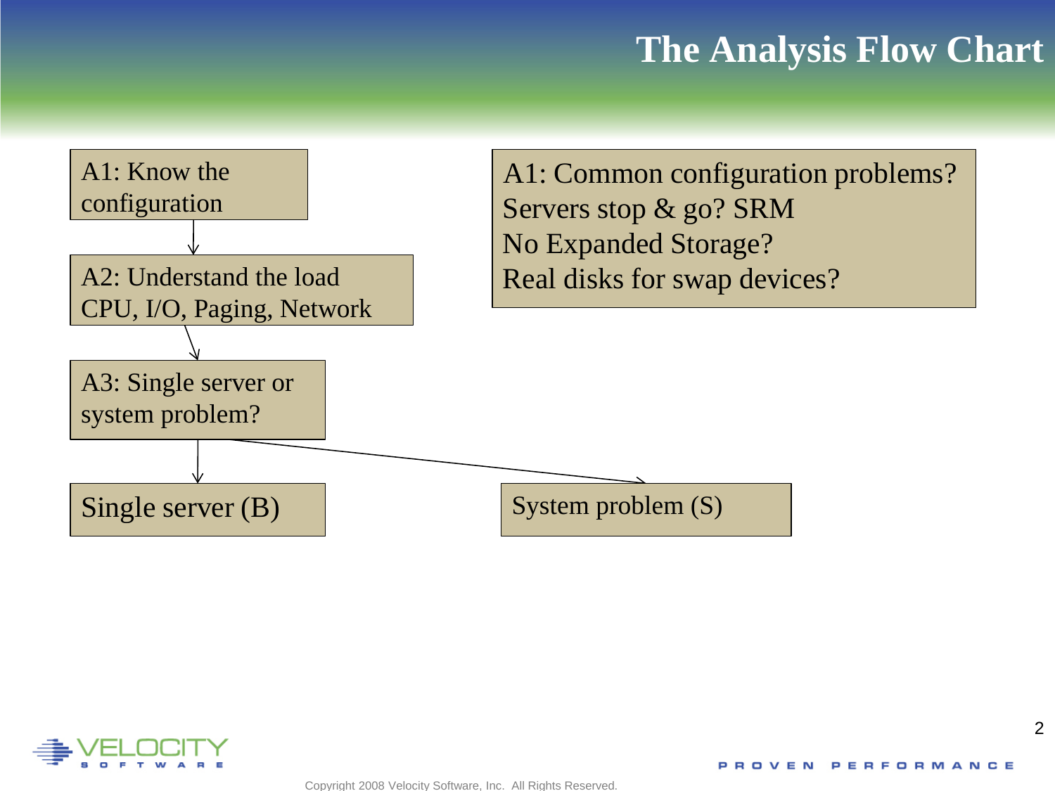



 $\mathfrak{D}$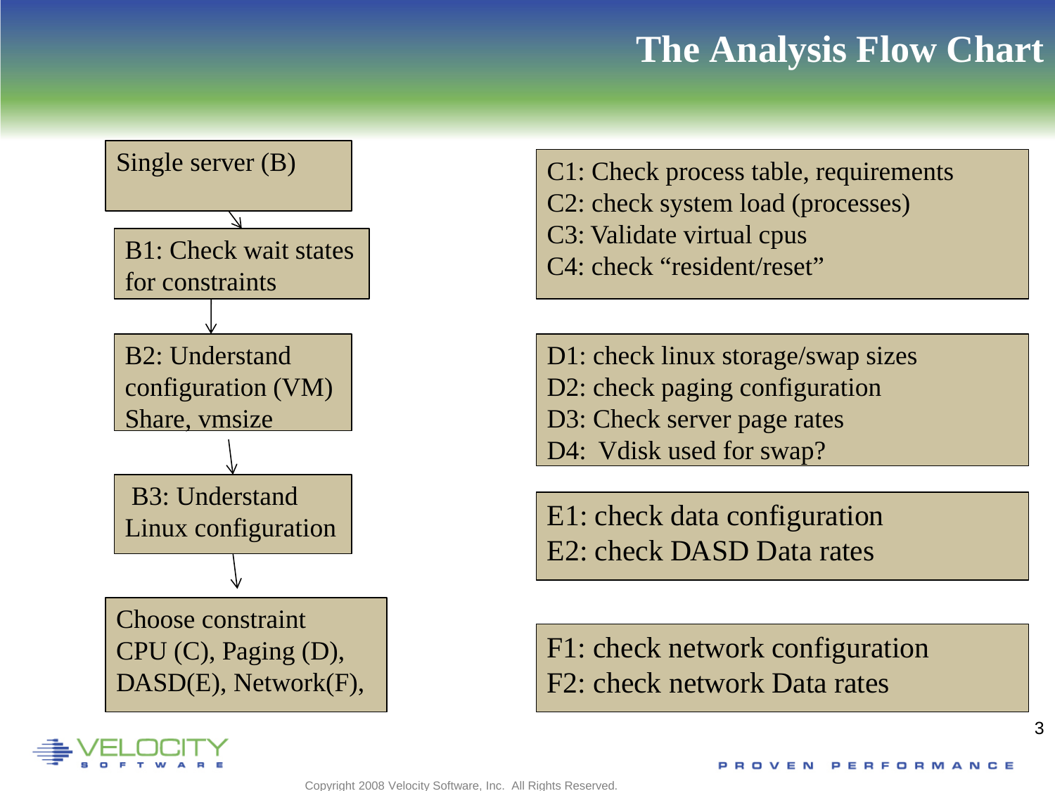

- C1: Check process table, requirements
- C2: check system load (processes)
- C3: Validate virtual cpus
- C4: check "resident/reset"
- D1: check linux storage/swap sizes
- D2: check paging configuration
- D3: Check server page rates
- D4: Vdisk used for swap?

E1: check data configuration E2: check DASD Data rates

F1: check network configuration F2: check network Data rates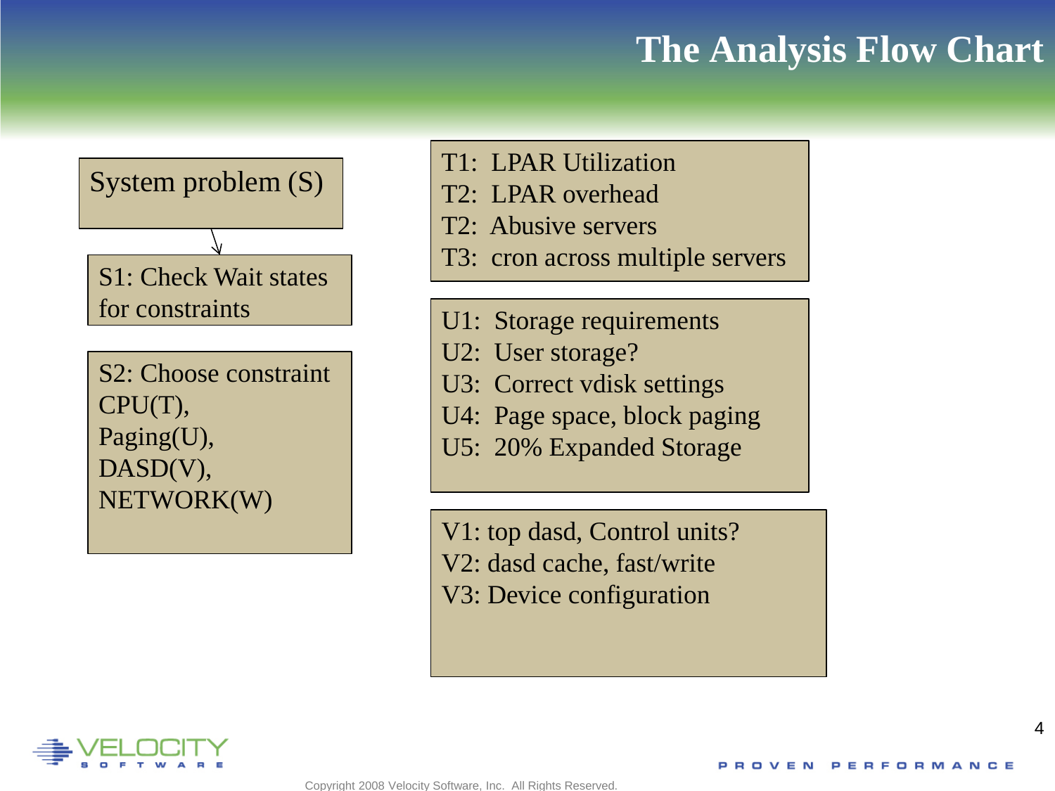

- T1: LPAR Utilization
- T2: LPAR overhead
- T2: Abusive servers
- T3: cron across multiple servers
- U1: Storage requirements
- U2: User storage?
- U3: Correct vdisk settings
- U4: Page space, block paging
- U5: 20% Expanded Storage

V1: top dasd, Control units? V2: dasd cache, fast/write V3: Device configuration

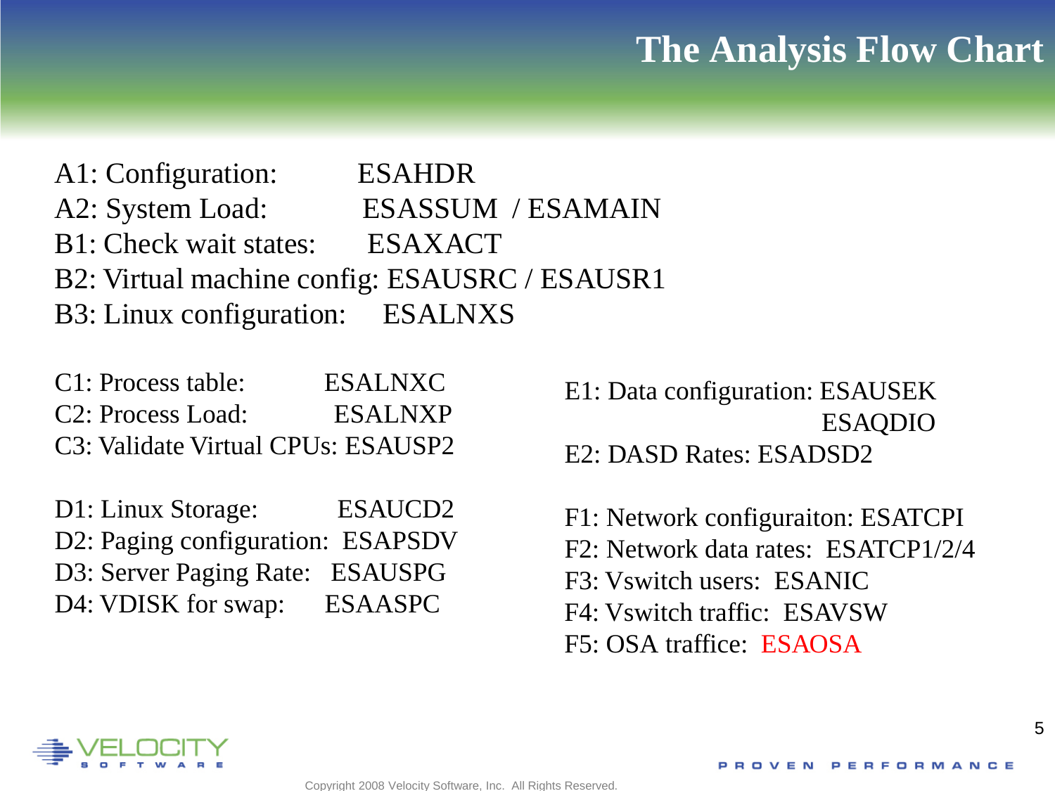A1: Configuration: ESAHDR A2: System Load: ESASSUM / ESAMAIN B1: Check wait states: ESAXACT B2: Virtual machine config: ESAUSRC / ESAUSR1 B3: Linux configuration: ESALNXS

| C1: Process table:                 | <b>ESALNXC</b> |
|------------------------------------|----------------|
| C <sub>2</sub> : Process Load:     | <b>ESALNXP</b> |
| C3: Validate Virtual CPUs: ESAUSP2 |                |

D1: Linux Storage: ESAUCD2 D2: Paging configuration: ESAPSDV D3: Server Paging Rate: ESAUSPG D4: VDISK for swap: ESAASPC

E1: Data configuration: ESAUSEK ESAQDIO E2: DASD Rates: ESADSD2

F1: Network configuraiton: ESATCPI F2: Network data rates: ESATCP1/2/4 F3: Vswitch users: ESANIC F4: Vswitch traffic: ESAVSW F5: OSA traffice: ESAOSA

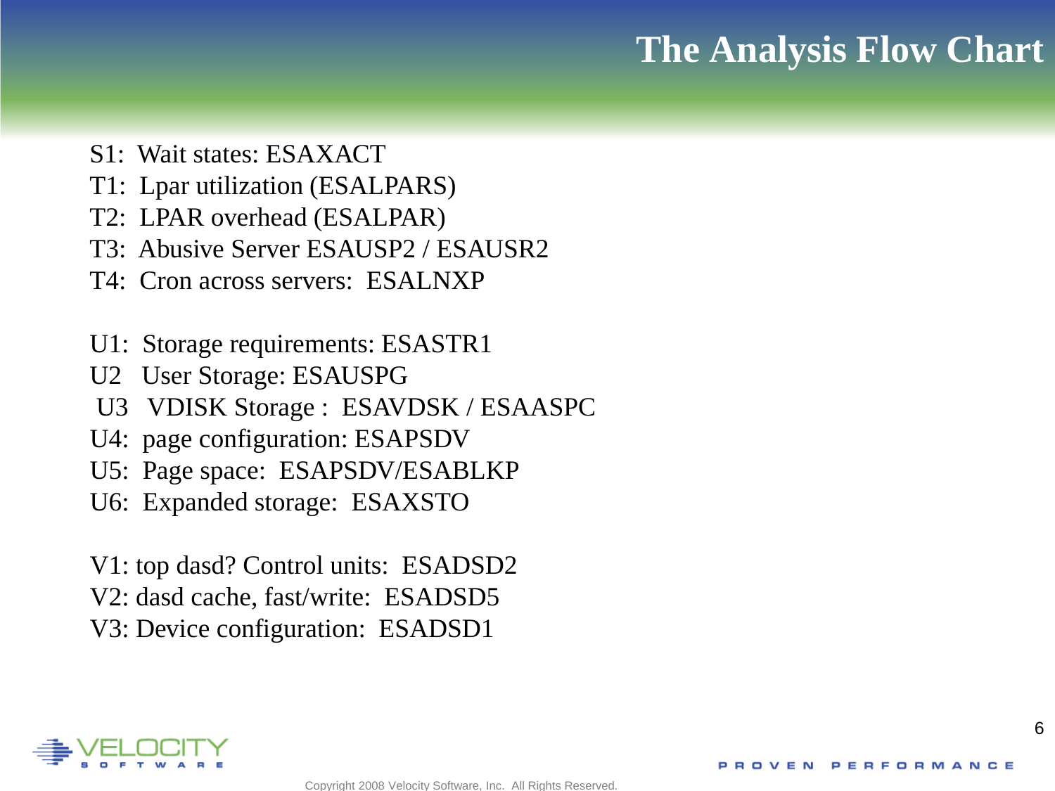- S1: Wait states: ESAXACT
- T1: Lpar utilization (ESALPARS)
- T2: LPAR overhead (ESALPAR)
- T3: Abusive Server ESAUSP2 / ESAUSR2
- T4: Cron across servers: ESALNXP
- U1: Storage requirements: ESASTR1
- U2 User Storage: ESAUSPG
- U3 VDISK Storage : ESAVDSK / ESAASPC
- U4: page configuration: ESAPSDV
- U5: Page space: ESAPSDV/ESABLKP
- U6: Expanded storage: ESAXSTO
- V1: top dasd? Control units: ESADSD2 V2: dasd cache, fast/write: ESADSD5 V3: Device configuration: ESADSD1

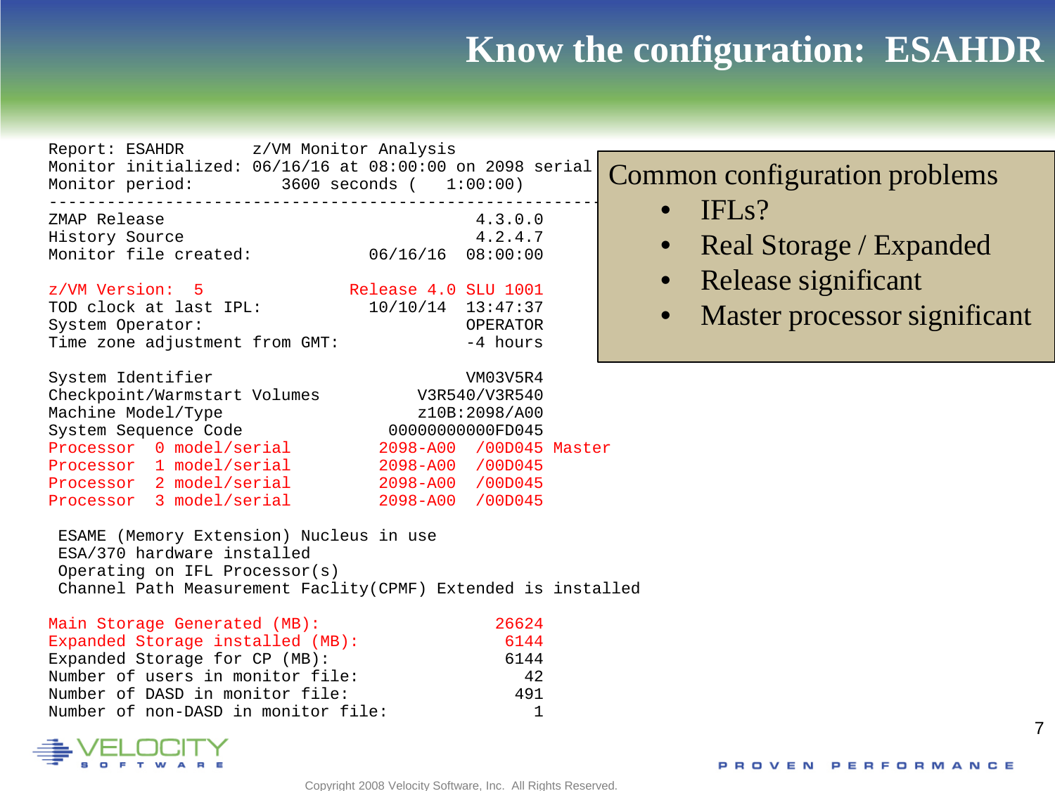#### **Know the configuration: ESAHDR**

|                                                         | Report: ESAHDR z/VM Monitor Analysis                                                                       |  |
|---------------------------------------------------------|------------------------------------------------------------------------------------------------------------|--|
| Monitor period:                                         | Monitor initialized: $06/16/16$ at $08:00:00$ on 2098 serial $\bigcap_{\Omega}$<br>3600 seconds ( 1:00:00) |  |
| ZMAP Release<br>History Source<br>Monitor file created: | 4.3.0.0<br>4.2.4.7<br>$06/16/16$ $08:00:00$                                                                |  |

z/VM Version: 5 Release 4.0 SLU 1001 ( TOD clock at last IPL:  $10/10/14$  13:47:37<br>System Operator: 0PERATOR System Operator: OPERATOR Time zone adjustment from GMT:

| System Identifier    |                              |                         | VM03V5R4      |  |
|----------------------|------------------------------|-------------------------|---------------|--|
|                      | Checkpoint/Warmstart Volumes |                         | V3R540/V3R540 |  |
| Machine Model/Type   |                              |                         | z10B:2098/A00 |  |
| System Sequence Code |                              | 00000000000FD045        |               |  |
|                      | Processor 0 model/serial     | 2098-A00 /00D045 Master |               |  |
|                      | Processor 1 model/serial     | 2098-A00 /00D045        |               |  |
|                      | Processor 2 model/serial     | 2098-A00 /00D045        |               |  |
|                      | Processor 3 model/serial     | 2098-A00 /00D045        |               |  |
|                      |                              |                         |               |  |

ESAME (Memory Extension) Nucleus in use ESA/370 hardware installed Operating on IFL Processor(s) Channel Path Measurement Faclity(CPMF) Extended is installed

| Main Storage Generated (MB):        | 26624 |
|-------------------------------------|-------|
| Expanded Storage installed (MB):    | 6144  |
| Expanded Storage for CP (MB):       | 6144  |
| Number of users in monitor file:    | 42    |
| Number of DASD in monitor file:     | 491   |
| Number of non-DASD in monitor file: |       |



#### Common configuration problems

- $\bullet$  IFLs?
- Real Storage / Expanded
- Release significant
- Master processor significant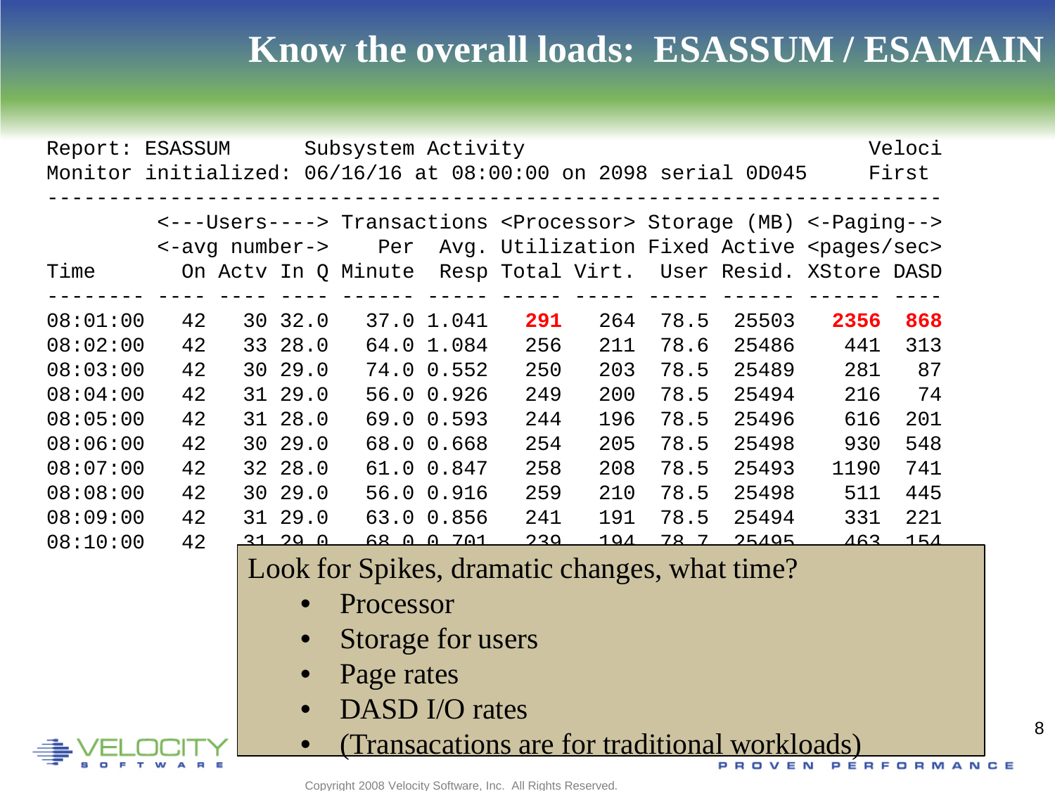#### **Know the overall loads: ESASSUM / ESAMAIN**

| Report:<br>Monitor initialized: 06/16/16 at 08:00:00 on 2098 serial 0D045 | ESASSUM |                |         | Subsystem Activity                            |              |     |               |             |       |                                                                                    | Veloci<br>First |
|---------------------------------------------------------------------------|---------|----------------|---------|-----------------------------------------------|--------------|-----|---------------|-------------|-------|------------------------------------------------------------------------------------|-----------------|
|                                                                           |         |                |         |                                               |              |     |               |             |       | <---Users----> Transactions <processor> Storage (MB) &lt;-Paging--&gt;</processor> |                 |
|                                                                           |         | <-avq number-> |         | Per                                           |              |     |               |             |       | Avg. Utilization Fixed Active <pages sec=""></pages>                               |                 |
| Time                                                                      |         |                |         |                                               |              |     |               |             |       | On Acty In Q Minute Resp Total Virt. User Resid. XStore DASD                       |                 |
|                                                                           |         |                |         |                                               |              |     |               |             |       |                                                                                    |                 |
| 08:01:00                                                                  | 42      |                | 30 32.0 |                                               | 37.0 1.041   | 291 | 264           | 78.5        | 25503 | 2356                                                                               | 868             |
| 08:02:00                                                                  | 42      | 33             | 28.0    |                                               | 64.0 1.084   | 256 | 211           | 78.6        | 25486 | 441                                                                                | 313             |
| 08:03:00                                                                  | 42      | 30             | 29.0    |                                               | 74.0 0.552   | 250 | 203           | 78.5        | 25489 | 281                                                                                | 87              |
| 08:04:00                                                                  | 42      |                | 31 29.0 |                                               | 56.0 0.926   | 249 | 200           | 78.5        | 25494 | 216                                                                                | 74              |
| 08:05:00                                                                  | 42      |                | 31 28.0 |                                               | 69.0 0.593   | 244 | 196           | 78.5        | 25496 | 616                                                                                | 201             |
| 08:06:00                                                                  | 42      |                | 30 29.0 |                                               | 68.0 0.668   | 254 | 205           | 78.5        | 25498 | 930                                                                                | 548             |
| 08:07:00                                                                  | 42      |                | 32 28.0 |                                               | 61.0 0.847   | 258 | 208           | 78.5        | 25493 | 1190                                                                               | 741             |
| 08:08:00                                                                  | 42      | 30             | 29.0    |                                               | 56.0 0.916   | 259 | 210           | 78.5        | 25498 | 511                                                                                | 445             |
| 08:09:00                                                                  | 42      |                | 31 29.0 |                                               | 63.0 0.856   | 241 | 191           | 78.5        | 25494 | 331                                                                                | 221             |
| 08:10:00                                                                  | 42      | <u>21</u>      | ാവ വ    | 68<br>$\cap$                                  | <u>0.701</u> | 220 | <u> 1 0 1</u> | <u>78 7</u> | 25105 | 463                                                                                | 151             |
|                                                                           |         |                |         | Look for Spikes, dramatic changes, what time? |              |     |               |             |       |                                                                                    |                 |
|                                                                           |         |                |         | Processor                                     |              |     |               |             |       |                                                                                    |                 |

- Storage for users
- Page rates
- DASD I/O rates
- (Transacations are for traditional workloads)

Copyright 2008 Velocity Software, Inc. All Rights Reserved.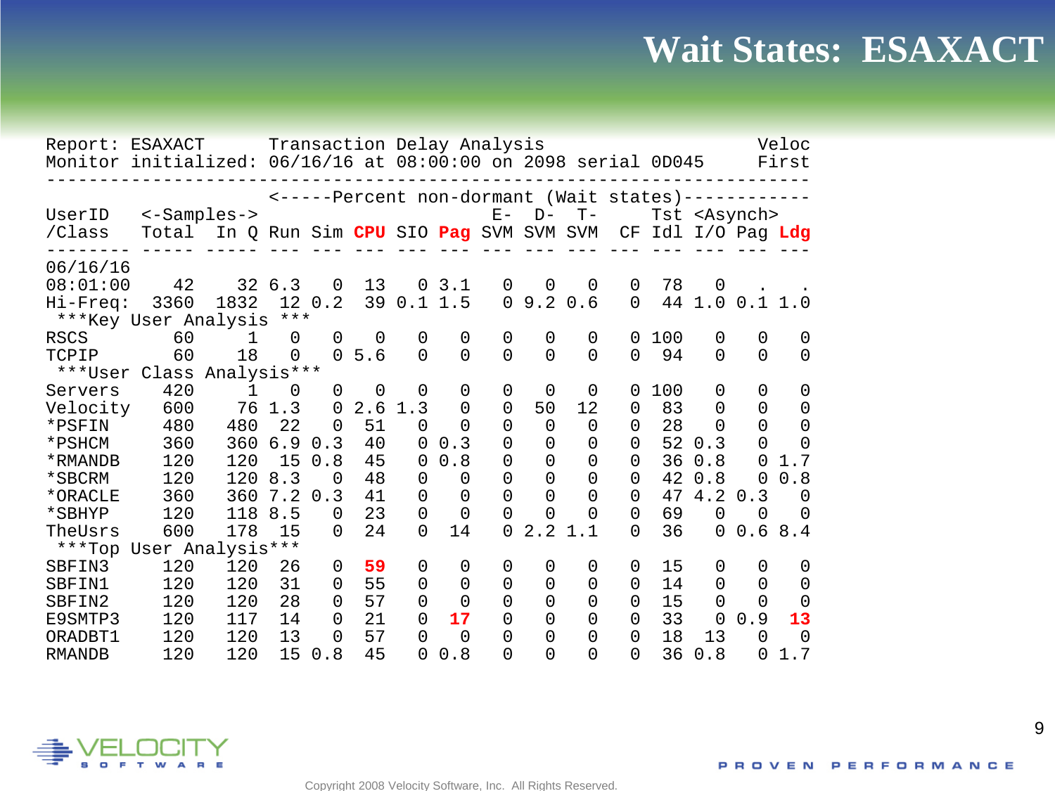#### **Wait States: ESAXACT**

| Report: ESAXACT<br>Monitor initialized: 06/16/16 at 08:00:00 on 2098 serial 0D045 |                      |                                      |                 |          |          |                | Transaction Delay Analysis |                |                      |                                          |              |                 |                       |             | Veloc<br>First |
|-----------------------------------------------------------------------------------|----------------------|--------------------------------------|-----------------|----------|----------|----------------|----------------------------|----------------|----------------------|------------------------------------------|--------------|-----------------|-----------------------|-------------|----------------|
|                                                                                   |                      |                                      |                 |          |          |                |                            |                |                      | <-----Percent non-dormant (Wait states)- |              |                 |                       |             |                |
| UserID<br>/Class                                                                  | <-Samples-><br>Total | In Q Run Sim CPU SIO Pag SVM SVM SVM |                 |          |          |                |                            | $E -$          | $D-$                 | $T -$                                    | CF           | Idl I/O Pag Ldg | Tst <asynch></asynch> |             |                |
|                                                                                   |                      |                                      |                 |          |          |                |                            |                |                      |                                          |              |                 |                       |             |                |
| 06/16/16                                                                          |                      |                                      |                 |          |          |                |                            |                |                      |                                          |              |                 |                       |             |                |
| 08:01:00                                                                          | 42                   |                                      | 32 6.3          | $\Omega$ | 13       | $\overline{0}$ | 3.1                        | 0              | 0                    | $\Omega$                                 | 0            | 78              | $\Omega$              |             |                |
| Hi-Freq:                                                                          | 3360                 | 1832                                 | 12 <sup>°</sup> | 0.2      | 39       | 0.11.5         |                            | $\overline{0}$ | 9.2                  | 0.6                                      | $\Omega$     | 44              |                       | 1.0 0.1 1.0 |                |
| ***Key User Analysis                                                              |                      |                                      | $***$           |          |          |                |                            |                |                      |                                          |              |                 |                       |             |                |
| <b>RSCS</b>                                                                       | 60                   | 1                                    | $\Omega$        | $\Omega$ | $\Omega$ | $\Omega$       | 0                          | 0              | 0                    | $\Omega$                                 | 0            | 100             | $\mathbf 0$           | $\mathbf 0$ | $\Omega$       |
| TCPIP                                                                             | 60                   | 18                                   | $\Omega$        | $\Omega$ | 5.6      | $\Omega$       | $\Omega$                   | $\Omega$       | $\Omega$             | $\Omega$                                 | $\Omega$     | 94              | 0                     | $\Omega$    | $\Omega$       |
| ***User                                                                           | Class                | Analysis***                          |                 |          |          |                |                            |                |                      |                                          |              |                 |                       |             |                |
| Servers                                                                           | 420                  | 1                                    | $\Omega$        | 0        | 0        | 0              | 0                          | 0              | 0                    | 0                                        | 0            | 100             | 0                     | 0           | 0              |
| Velocity                                                                          | 600                  | 76                                   | 1.3             | $\Omega$ | 2.6      | 1.3            | 0                          | 0              | 50                   | 12                                       | 0            | 83              | 0                     | 0           | $\Omega$       |
| *PSFIN                                                                            | 480                  | 480                                  | 22              | 0        | 51       | $\Omega$       | 0                          | 0              | 0                    | 0                                        | <sup>0</sup> | 28              | 0                     | $\Omega$    | $\Omega$       |
| *PSHCM                                                                            | 360                  | 360                                  | 6.9             | 0.3      | 40       | $\Omega$       | 0.3                        | 0              | 0                    | O                                        | $\Omega$     | 52              | 0.3                   | 0           | ∩              |
| *RMANDB                                                                           | 120                  | 120                                  | 15              | 0.8      | 45       | $\Omega$       | 0.8                        | 0              | 0                    | O                                        | $\Omega$     | 36              | 0.8                   | $\Omega$    | 1.7            |
| *SBCRM                                                                            | 120                  | 120                                  | 8.3             | 0        | 48       | $\Omega$       | 0                          | 0              | 0                    | O                                        | $\Omega$     | 42              | 0.8                   | 0           | 0.8            |
| *ORACLE                                                                           | 360                  | 360                                  | 7.2             | 0.3      | 41       | $\Omega$       | 0                          | 0              | 0                    | $\Omega$                                 | $\Omega$     | 47              | 4.2                   | 0.3         | $\Omega$       |
| *SBHYP                                                                            | 120                  | 118                                  | 8.5             | $\Omega$ | 23       | $\Omega$       | 0                          | 0              | $\Omega$             | O                                        | 0            | 69              | $\overline{0}$        | 0           | $\Omega$       |
| TheUsrs                                                                           | 600                  | 178                                  | 15              | $\Omega$ | 24       | $\Omega$       | 14                         | $\Omega$       | $\overline{2}$<br>2. | $\mathbf{1}$                             | 0            | 36              | 0                     | 0.6         | 8.4            |
| ***Top                                                                            | User Analysis***     |                                      |                 |          |          |                |                            |                |                      |                                          |              |                 |                       |             |                |
| SBFIN3                                                                            | 120                  | 120                                  | 26              | 0        | 59       | $\Omega$       | 0                          | 0              | 0                    | 0                                        | $\Omega$     | 15              | 0                     | 0           | 0              |
| SBFIN1                                                                            | 120                  | 120                                  | 31              | 0        | 55       | $\Omega$       | 0                          | 0              | 0                    | 0                                        | $\Omega$     | 14              | 0                     | 0           | $\Omega$       |
| SBFIN2                                                                            | 120                  | 120                                  | 28              | 0        | 57       | 0              | 0                          | 0              | 0                    | 0                                        | $\Omega$     | 15              | 0                     | 0           | $\Omega$       |
| E9SMTP3                                                                           | 120                  | 117                                  | 14              | 0        | 21<br>57 | $\Omega$       | 17                         | 0              | 0                    | O                                        | 0            | 33              | $\Omega$              | 0.9         | 13<br>$\Omega$ |
| ORADBT1                                                                           | 120                  | 120                                  | 13              | 0        |          | $\Omega$       | 0                          | 0              | 0                    | 0                                        | 0            | 18              | 13                    | $\Omega$    |                |
| <b>RMANDB</b>                                                                     | 120                  | 120                                  | 15              | 0.8      | 45       | 0              | 0.8                        | 0              | 0                    | O                                        | 0            | 36              | 0.8                   | $\Omega$    | 1.7            |

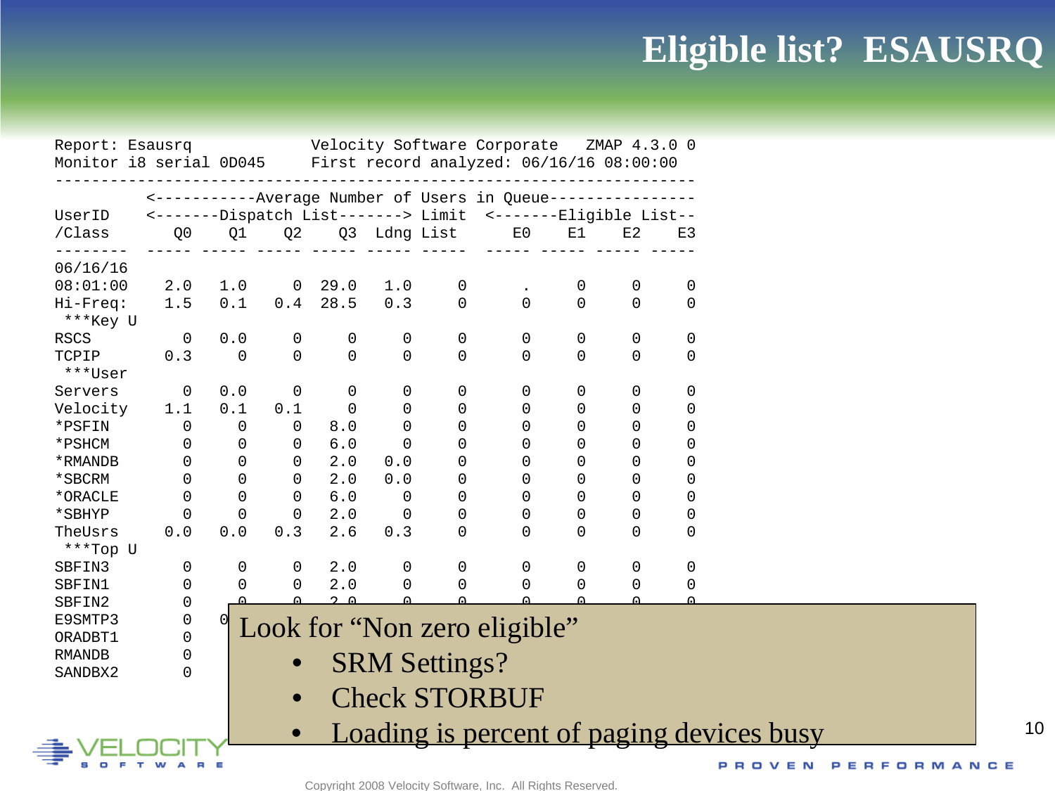## **Eligible list? ESAUSRQ**

| Velocity Software Corporate ZMAP 4.3.0 0<br>Report: Esausrq<br>Monitor i8 serial 0D045 First record analyzed: 06/16/16 08:00:00<br><-----------Average Number of Users in Queue------------<br><-------Dispatch List-------> Limit <-------Eligible List--<br>UserID<br>/Class<br>Q <sub>0</sub><br>Q1<br>Q <sub>2</sub><br>E0<br>E1<br>E2<br>Q3 Ldng List<br>E3<br>06/16/16<br>08:01:00<br>2.0<br>1.0<br>0 29.0<br>1.0<br>0<br>0<br>0<br>0<br>$\mathbf 0$<br>0.1<br>$0.4$ 28.5<br>$\Omega$<br>$\Omega$<br>1.5<br>0.3<br>$\mathbf 0$<br>$\mathbf 0$<br>Hi-Freq:<br>***Key U<br><b>RSCS</b><br>$\overline{0}$<br>0<br>0<br>0.0<br>0<br>0<br>0<br>0<br>0<br>0<br>0.3<br>$\Omega$<br>$\mathsf{O}$<br>$\Omega$<br>$\Omega$<br>$\mathbf 0$<br>$\Omega$<br>$\Omega$<br>0<br>TCPIP<br>$\Omega$<br>***User<br>0.0<br>0<br>Servers<br>0<br>0<br>0<br>0<br>0<br>0<br>0<br>0<br>0.1<br>Velocity<br>1.1<br>0.1<br>$\Omega$<br>0<br>$\mathbf 0$<br>0<br>0<br>0<br>0<br>*PSFIN<br>$\Omega$<br>$\mathbf 0$<br>$\Omega$<br>$\Omega$<br>$\mathbf 0$<br>8.0<br>0<br>$\Omega$<br>$\Omega$<br>0<br>$\Omega$<br>*PSHCM<br>$\Omega$<br>$\mathbf 0$<br>6.0<br>$\Omega$<br>$\Omega$<br>0<br>$\Omega$<br>$\mathbf 0$<br>$\Omega$<br>$\Omega$<br>$\Omega$<br>2.0<br>$\mathbf 0$<br>$\Omega$<br>$\Omega$<br>*RMANDB<br>$\Omega$<br>0.0<br>$\Omega$<br>$\mathbf 0$<br>$\Omega$<br>$\mathbf 0$<br>$\mathbf 0$<br>2.0<br>$\Omega$<br>$\Omega$<br>$\Omega$<br>$\mathbf 0$<br>*SBCRM<br>0.0<br>0<br>$\mathbf 0$<br>$\Omega$<br>$\Omega$<br>$6.0$<br>$\Omega$<br>$\Omega$<br>$\mathbf 0$<br>*ORACLE<br>$\mathbf 0$<br>$\mathbf 0$<br>$\mathbf 0$<br>$\mathbf 0$<br>$\Omega$<br>0<br>$\mathbf 0$<br>$\Omega$<br>$\mathbf 0$<br>2.0<br>$\mathbf 0$<br>0<br>*SBHYP<br>0<br>$\overline{0}$<br>$\Omega$<br>$\mathbf 0$<br>$0.0$<br>0.0<br>0.3<br>2.6<br>$\Omega$<br>$\Omega$<br>0.3<br>TheUsrs<br>***Top U<br>0<br>0<br>2.0<br>0<br>0<br>0<br>SBFIN3<br>0<br>0<br>0<br>0<br>$\mathbf 0$<br>2.0<br>0<br>0<br>SBFIN1<br>$\Omega$<br>0<br>$\mathbf 0$<br>0<br>0<br>0<br>$2^{\circ}$<br>$\cap$<br>$\cap$<br>$\mathbf 0$<br>SBFIN2<br>0<br>E9SMTP3<br>Look for "Non zero eligible"<br>$\Omega$<br>ORADBT1<br><b>RMANDB</b><br>$\Omega$<br><b>SRM Settings?</b><br>SANDBX2<br>0<br><b>Check STORBUF</b><br>$\bullet$<br>Loading is percent of paging devices busy<br>$\bullet$<br>РR |  |  |  |  |  |            |  |
|------------------------------------------------------------------------------------------------------------------------------------------------------------------------------------------------------------------------------------------------------------------------------------------------------------------------------------------------------------------------------------------------------------------------------------------------------------------------------------------------------------------------------------------------------------------------------------------------------------------------------------------------------------------------------------------------------------------------------------------------------------------------------------------------------------------------------------------------------------------------------------------------------------------------------------------------------------------------------------------------------------------------------------------------------------------------------------------------------------------------------------------------------------------------------------------------------------------------------------------------------------------------------------------------------------------------------------------------------------------------------------------------------------------------------------------------------------------------------------------------------------------------------------------------------------------------------------------------------------------------------------------------------------------------------------------------------------------------------------------------------------------------------------------------------------------------------------------------------------------------------------------------------------------------------------------------------------------------------------------------------------------------------------------------------------------------------------------------------------------------------------------------------------------------------------------------------------------------------------------------------------------------------------------------------------------------------------------|--|--|--|--|--|------------|--|
|                                                                                                                                                                                                                                                                                                                                                                                                                                                                                                                                                                                                                                                                                                                                                                                                                                                                                                                                                                                                                                                                                                                                                                                                                                                                                                                                                                                                                                                                                                                                                                                                                                                                                                                                                                                                                                                                                                                                                                                                                                                                                                                                                                                                                                                                                                                                          |  |  |  |  |  |            |  |
|                                                                                                                                                                                                                                                                                                                                                                                                                                                                                                                                                                                                                                                                                                                                                                                                                                                                                                                                                                                                                                                                                                                                                                                                                                                                                                                                                                                                                                                                                                                                                                                                                                                                                                                                                                                                                                                                                                                                                                                                                                                                                                                                                                                                                                                                                                                                          |  |  |  |  |  |            |  |
|                                                                                                                                                                                                                                                                                                                                                                                                                                                                                                                                                                                                                                                                                                                                                                                                                                                                                                                                                                                                                                                                                                                                                                                                                                                                                                                                                                                                                                                                                                                                                                                                                                                                                                                                                                                                                                                                                                                                                                                                                                                                                                                                                                                                                                                                                                                                          |  |  |  |  |  |            |  |
|                                                                                                                                                                                                                                                                                                                                                                                                                                                                                                                                                                                                                                                                                                                                                                                                                                                                                                                                                                                                                                                                                                                                                                                                                                                                                                                                                                                                                                                                                                                                                                                                                                                                                                                                                                                                                                                                                                                                                                                                                                                                                                                                                                                                                                                                                                                                          |  |  |  |  |  |            |  |
|                                                                                                                                                                                                                                                                                                                                                                                                                                                                                                                                                                                                                                                                                                                                                                                                                                                                                                                                                                                                                                                                                                                                                                                                                                                                                                                                                                                                                                                                                                                                                                                                                                                                                                                                                                                                                                                                                                                                                                                                                                                                                                                                                                                                                                                                                                                                          |  |  |  |  |  |            |  |
|                                                                                                                                                                                                                                                                                                                                                                                                                                                                                                                                                                                                                                                                                                                                                                                                                                                                                                                                                                                                                                                                                                                                                                                                                                                                                                                                                                                                                                                                                                                                                                                                                                                                                                                                                                                                                                                                                                                                                                                                                                                                                                                                                                                                                                                                                                                                          |  |  |  |  |  |            |  |
|                                                                                                                                                                                                                                                                                                                                                                                                                                                                                                                                                                                                                                                                                                                                                                                                                                                                                                                                                                                                                                                                                                                                                                                                                                                                                                                                                                                                                                                                                                                                                                                                                                                                                                                                                                                                                                                                                                                                                                                                                                                                                                                                                                                                                                                                                                                                          |  |  |  |  |  |            |  |
|                                                                                                                                                                                                                                                                                                                                                                                                                                                                                                                                                                                                                                                                                                                                                                                                                                                                                                                                                                                                                                                                                                                                                                                                                                                                                                                                                                                                                                                                                                                                                                                                                                                                                                                                                                                                                                                                                                                                                                                                                                                                                                                                                                                                                                                                                                                                          |  |  |  |  |  |            |  |
|                                                                                                                                                                                                                                                                                                                                                                                                                                                                                                                                                                                                                                                                                                                                                                                                                                                                                                                                                                                                                                                                                                                                                                                                                                                                                                                                                                                                                                                                                                                                                                                                                                                                                                                                                                                                                                                                                                                                                                                                                                                                                                                                                                                                                                                                                                                                          |  |  |  |  |  |            |  |
|                                                                                                                                                                                                                                                                                                                                                                                                                                                                                                                                                                                                                                                                                                                                                                                                                                                                                                                                                                                                                                                                                                                                                                                                                                                                                                                                                                                                                                                                                                                                                                                                                                                                                                                                                                                                                                                                                                                                                                                                                                                                                                                                                                                                                                                                                                                                          |  |  |  |  |  |            |  |
|                                                                                                                                                                                                                                                                                                                                                                                                                                                                                                                                                                                                                                                                                                                                                                                                                                                                                                                                                                                                                                                                                                                                                                                                                                                                                                                                                                                                                                                                                                                                                                                                                                                                                                                                                                                                                                                                                                                                                                                                                                                                                                                                                                                                                                                                                                                                          |  |  |  |  |  |            |  |
|                                                                                                                                                                                                                                                                                                                                                                                                                                                                                                                                                                                                                                                                                                                                                                                                                                                                                                                                                                                                                                                                                                                                                                                                                                                                                                                                                                                                                                                                                                                                                                                                                                                                                                                                                                                                                                                                                                                                                                                                                                                                                                                                                                                                                                                                                                                                          |  |  |  |  |  |            |  |
|                                                                                                                                                                                                                                                                                                                                                                                                                                                                                                                                                                                                                                                                                                                                                                                                                                                                                                                                                                                                                                                                                                                                                                                                                                                                                                                                                                                                                                                                                                                                                                                                                                                                                                                                                                                                                                                                                                                                                                                                                                                                                                                                                                                                                                                                                                                                          |  |  |  |  |  |            |  |
|                                                                                                                                                                                                                                                                                                                                                                                                                                                                                                                                                                                                                                                                                                                                                                                                                                                                                                                                                                                                                                                                                                                                                                                                                                                                                                                                                                                                                                                                                                                                                                                                                                                                                                                                                                                                                                                                                                                                                                                                                                                                                                                                                                                                                                                                                                                                          |  |  |  |  |  |            |  |
|                                                                                                                                                                                                                                                                                                                                                                                                                                                                                                                                                                                                                                                                                                                                                                                                                                                                                                                                                                                                                                                                                                                                                                                                                                                                                                                                                                                                                                                                                                                                                                                                                                                                                                                                                                                                                                                                                                                                                                                                                                                                                                                                                                                                                                                                                                                                          |  |  |  |  |  |            |  |
|                                                                                                                                                                                                                                                                                                                                                                                                                                                                                                                                                                                                                                                                                                                                                                                                                                                                                                                                                                                                                                                                                                                                                                                                                                                                                                                                                                                                                                                                                                                                                                                                                                                                                                                                                                                                                                                                                                                                                                                                                                                                                                                                                                                                                                                                                                                                          |  |  |  |  |  |            |  |
|                                                                                                                                                                                                                                                                                                                                                                                                                                                                                                                                                                                                                                                                                                                                                                                                                                                                                                                                                                                                                                                                                                                                                                                                                                                                                                                                                                                                                                                                                                                                                                                                                                                                                                                                                                                                                                                                                                                                                                                                                                                                                                                                                                                                                                                                                                                                          |  |  |  |  |  |            |  |
|                                                                                                                                                                                                                                                                                                                                                                                                                                                                                                                                                                                                                                                                                                                                                                                                                                                                                                                                                                                                                                                                                                                                                                                                                                                                                                                                                                                                                                                                                                                                                                                                                                                                                                                                                                                                                                                                                                                                                                                                                                                                                                                                                                                                                                                                                                                                          |  |  |  |  |  |            |  |
|                                                                                                                                                                                                                                                                                                                                                                                                                                                                                                                                                                                                                                                                                                                                                                                                                                                                                                                                                                                                                                                                                                                                                                                                                                                                                                                                                                                                                                                                                                                                                                                                                                                                                                                                                                                                                                                                                                                                                                                                                                                                                                                                                                                                                                                                                                                                          |  |  |  |  |  |            |  |
|                                                                                                                                                                                                                                                                                                                                                                                                                                                                                                                                                                                                                                                                                                                                                                                                                                                                                                                                                                                                                                                                                                                                                                                                                                                                                                                                                                                                                                                                                                                                                                                                                                                                                                                                                                                                                                                                                                                                                                                                                                                                                                                                                                                                                                                                                                                                          |  |  |  |  |  |            |  |
|                                                                                                                                                                                                                                                                                                                                                                                                                                                                                                                                                                                                                                                                                                                                                                                                                                                                                                                                                                                                                                                                                                                                                                                                                                                                                                                                                                                                                                                                                                                                                                                                                                                                                                                                                                                                                                                                                                                                                                                                                                                                                                                                                                                                                                                                                                                                          |  |  |  |  |  |            |  |
|                                                                                                                                                                                                                                                                                                                                                                                                                                                                                                                                                                                                                                                                                                                                                                                                                                                                                                                                                                                                                                                                                                                                                                                                                                                                                                                                                                                                                                                                                                                                                                                                                                                                                                                                                                                                                                                                                                                                                                                                                                                                                                                                                                                                                                                                                                                                          |  |  |  |  |  |            |  |
|                                                                                                                                                                                                                                                                                                                                                                                                                                                                                                                                                                                                                                                                                                                                                                                                                                                                                                                                                                                                                                                                                                                                                                                                                                                                                                                                                                                                                                                                                                                                                                                                                                                                                                                                                                                                                                                                                                                                                                                                                                                                                                                                                                                                                                                                                                                                          |  |  |  |  |  |            |  |
|                                                                                                                                                                                                                                                                                                                                                                                                                                                                                                                                                                                                                                                                                                                                                                                                                                                                                                                                                                                                                                                                                                                                                                                                                                                                                                                                                                                                                                                                                                                                                                                                                                                                                                                                                                                                                                                                                                                                                                                                                                                                                                                                                                                                                                                                                                                                          |  |  |  |  |  |            |  |
|                                                                                                                                                                                                                                                                                                                                                                                                                                                                                                                                                                                                                                                                                                                                                                                                                                                                                                                                                                                                                                                                                                                                                                                                                                                                                                                                                                                                                                                                                                                                                                                                                                                                                                                                                                                                                                                                                                                                                                                                                                                                                                                                                                                                                                                                                                                                          |  |  |  |  |  |            |  |
|                                                                                                                                                                                                                                                                                                                                                                                                                                                                                                                                                                                                                                                                                                                                                                                                                                                                                                                                                                                                                                                                                                                                                                                                                                                                                                                                                                                                                                                                                                                                                                                                                                                                                                                                                                                                                                                                                                                                                                                                                                                                                                                                                                                                                                                                                                                                          |  |  |  |  |  |            |  |
|                                                                                                                                                                                                                                                                                                                                                                                                                                                                                                                                                                                                                                                                                                                                                                                                                                                                                                                                                                                                                                                                                                                                                                                                                                                                                                                                                                                                                                                                                                                                                                                                                                                                                                                                                                                                                                                                                                                                                                                                                                                                                                                                                                                                                                                                                                                                          |  |  |  |  |  |            |  |
|                                                                                                                                                                                                                                                                                                                                                                                                                                                                                                                                                                                                                                                                                                                                                                                                                                                                                                                                                                                                                                                                                                                                                                                                                                                                                                                                                                                                                                                                                                                                                                                                                                                                                                                                                                                                                                                                                                                                                                                                                                                                                                                                                                                                                                                                                                                                          |  |  |  |  |  |            |  |
|                                                                                                                                                                                                                                                                                                                                                                                                                                                                                                                                                                                                                                                                                                                                                                                                                                                                                                                                                                                                                                                                                                                                                                                                                                                                                                                                                                                                                                                                                                                                                                                                                                                                                                                                                                                                                                                                                                                                                                                                                                                                                                                                                                                                                                                                                                                                          |  |  |  |  |  |            |  |
|                                                                                                                                                                                                                                                                                                                                                                                                                                                                                                                                                                                                                                                                                                                                                                                                                                                                                                                                                                                                                                                                                                                                                                                                                                                                                                                                                                                                                                                                                                                                                                                                                                                                                                                                                                                                                                                                                                                                                                                                                                                                                                                                                                                                                                                                                                                                          |  |  |  |  |  |            |  |
|                                                                                                                                                                                                                                                                                                                                                                                                                                                                                                                                                                                                                                                                                                                                                                                                                                                                                                                                                                                                                                                                                                                                                                                                                                                                                                                                                                                                                                                                                                                                                                                                                                                                                                                                                                                                                                                                                                                                                                                                                                                                                                                                                                                                                                                                                                                                          |  |  |  |  |  |            |  |
|                                                                                                                                                                                                                                                                                                                                                                                                                                                                                                                                                                                                                                                                                                                                                                                                                                                                                                                                                                                                                                                                                                                                                                                                                                                                                                                                                                                                                                                                                                                                                                                                                                                                                                                                                                                                                                                                                                                                                                                                                                                                                                                                                                                                                                                                                                                                          |  |  |  |  |  |            |  |
|                                                                                                                                                                                                                                                                                                                                                                                                                                                                                                                                                                                                                                                                                                                                                                                                                                                                                                                                                                                                                                                                                                                                                                                                                                                                                                                                                                                                                                                                                                                                                                                                                                                                                                                                                                                                                                                                                                                                                                                                                                                                                                                                                                                                                                                                                                                                          |  |  |  |  |  |            |  |
|                                                                                                                                                                                                                                                                                                                                                                                                                                                                                                                                                                                                                                                                                                                                                                                                                                                                                                                                                                                                                                                                                                                                                                                                                                                                                                                                                                                                                                                                                                                                                                                                                                                                                                                                                                                                                                                                                                                                                                                                                                                                                                                                                                                                                                                                                                                                          |  |  |  |  |  |            |  |
|                                                                                                                                                                                                                                                                                                                                                                                                                                                                                                                                                                                                                                                                                                                                                                                                                                                                                                                                                                                                                                                                                                                                                                                                                                                                                                                                                                                                                                                                                                                                                                                                                                                                                                                                                                                                                                                                                                                                                                                                                                                                                                                                                                                                                                                                                                                                          |  |  |  |  |  |            |  |
|                                                                                                                                                                                                                                                                                                                                                                                                                                                                                                                                                                                                                                                                                                                                                                                                                                                                                                                                                                                                                                                                                                                                                                                                                                                                                                                                                                                                                                                                                                                                                                                                                                                                                                                                                                                                                                                                                                                                                                                                                                                                                                                                                                                                                                                                                                                                          |  |  |  |  |  | 0 V E<br>N |  |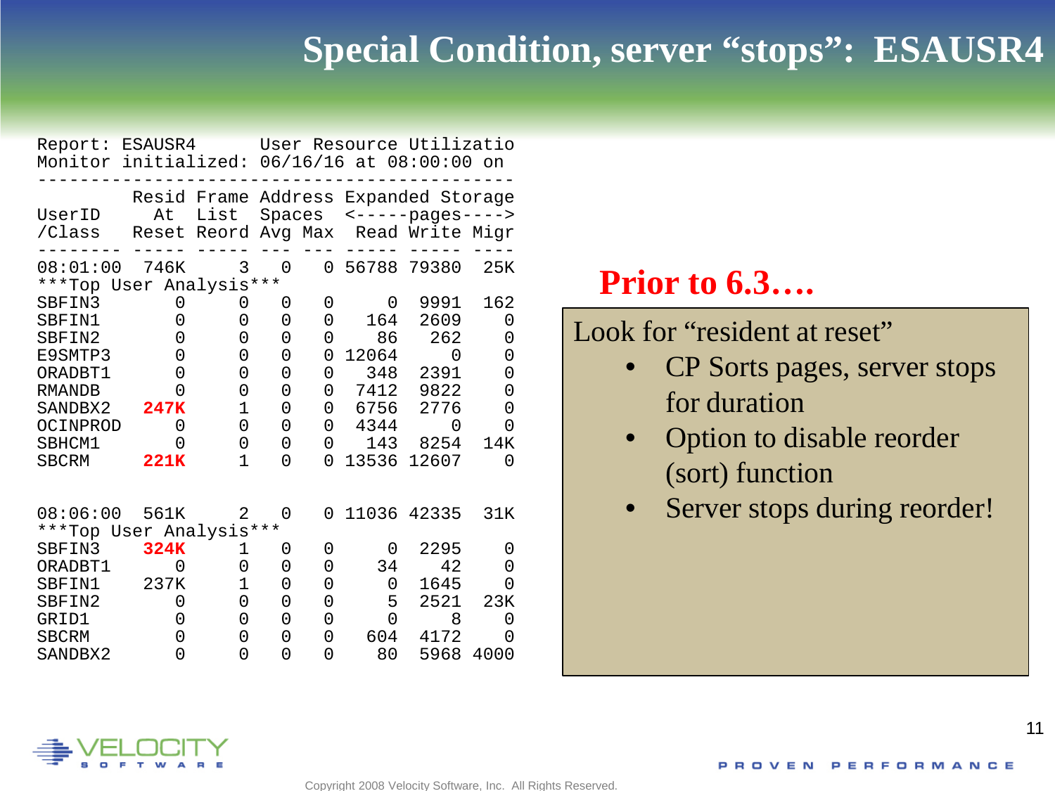#### **Special Condition, server "stops": ESAUSR4**

| Report: ESAUSR4<br>Monitor initialized: 06/16/16 at 08:00:00 on |             |               |   |          |       | User Resource Utilizatio                                                                   |      |
|-----------------------------------------------------------------|-------------|---------------|---|----------|-------|--------------------------------------------------------------------------------------------|------|
| UserID<br>/Class                                                | At<br>Reset | List<br>Reord |   |          |       | Resid Frame Address Expanded Storage<br>Spaces <-----pages----><br>Avg Max Read Write Migr |      |
| 08:01:00 746K<br>***Top User Analysis***                        |             | 3             | 0 | $\Omega$ |       | 56788 79380                                                                                | 25K  |
| SBFIN3                                                          | 0           | 0             | 0 | 0        | 0     | 9991                                                                                       | 162  |
| SBFTN1                                                          | 0           | 0             | 0 | 0        | 164   | 2609                                                                                       | 0    |
| SBFTN2                                                          | 0           | 0             | 0 | 0        | 86    | 262                                                                                        | 0    |
| E9SMTP3                                                         | 0           | 0             | 0 | 0        | 12064 | 0                                                                                          | 0    |
| ORADBT1                                                         | 0           | 0             | 0 | 0        | 348   | 2391                                                                                       | 0    |
| <b>RMANDB</b>                                                   | O           | 0             | 0 | 0        | 7412  | 9822                                                                                       | 0    |
| SANDBX2                                                         | 247K        | $\mathbf{1}$  | 0 | 0        | 6756  | 2776                                                                                       | 0    |
| OCINPROD                                                        | 0           | 0             | 0 | 0        | 4344  | O                                                                                          | 0    |
| SBHCM1                                                          | 0           | 0             | 0 | 0        | 143   | 8254                                                                                       | 14K  |
| <b>SBCRM</b>                                                    | 221K        | 1             | 0 | U        | 13536 | 12607                                                                                      | 0    |
| 08:06:00                                                        | 561K        | 2             | 0 | 0        |       | 11036 42335                                                                                | 31K  |
| ***Top User Analysis***                                         |             |               |   |          |       |                                                                                            |      |
| SBFIN3                                                          | 324K        | 1             | 0 | 0        | 0     | 2295                                                                                       | 0    |
| ORADBT1                                                         | $\Omega$    | 0             | 0 | 0        | 34    | 42                                                                                         | 0    |
| SBFIN1                                                          | 237K        | $\mathbf 1$   | 0 | 0        | 0     | 1645                                                                                       | 0    |
| SBFIN2                                                          | $\Omega$    | 0             | 0 | 0        | 5     | 2521                                                                                       | 23K  |
| GRID1                                                           | 0           | 0             | 0 | 0        | 0     | 8                                                                                          | 0    |
| <b>SBCRM</b>                                                    | 0           | 0             | 0 | 0        | 604   | 4172                                                                                       | 0    |
| SANDBX2                                                         | 0           | 0             | 0 | 0        | 80    | 5968                                                                                       | 4000 |

#### **Prior to 6.3….**

Look for "resident at reset"

- CP Sorts pages, server stops for duration
- Option to disable reorder (sort) function
- Server stops during reorder!

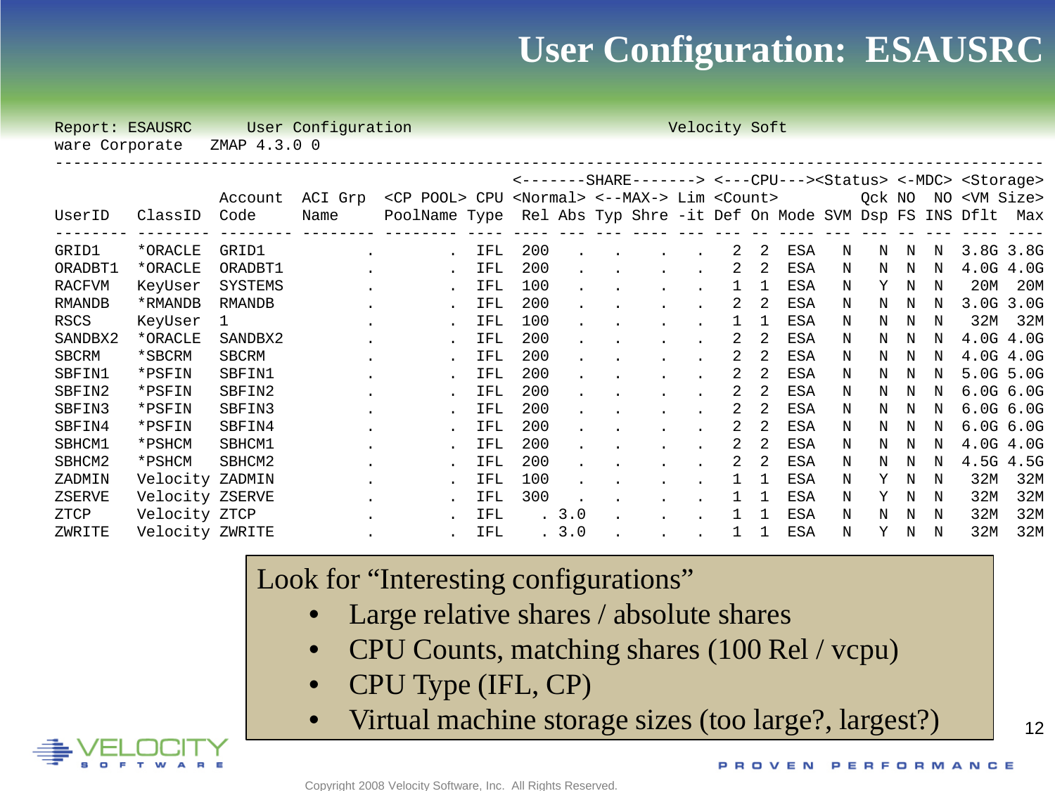#### **User Configuration: ESAUSRC**

| Report: ESAUSRC |                 | User Configuration<br>Velocity Soft |         |                                                                            |     |     |       |  |  |  |   |    |                  |   |        |   |   |                                                                                      |               |
|-----------------|-----------------|-------------------------------------|---------|----------------------------------------------------------------------------|-----|-----|-------|--|--|--|---|----|------------------|---|--------|---|---|--------------------------------------------------------------------------------------|---------------|
| ware Corporate  |                 | ZMAP 4.3.0 0                        |         |                                                                            |     |     |       |  |  |  |   |    |                  |   |        |   |   |                                                                                      |               |
|                 |                 |                                     |         |                                                                            |     |     |       |  |  |  |   |    |                  |   |        |   |   |                                                                                      |               |
|                 |                 |                                     |         |                                                                            |     |     |       |  |  |  |   |    |                  |   |        |   |   | <-------BHARE-------> <---CPU---> <status> &lt;-MDC&gt; <storage></storage></status> |               |
|                 |                 | Account                             | ACI Grp | <cp pool=""> CPU <normal> &lt;--MAX-&gt; Lim <count></count></normal></cp> |     |     |       |  |  |  |   |    |                  |   | Ock NO |   |   | NO <vm size=""></vm>                                                                 |               |
| UserID          | ClassID         | Code                                | Name    | PoolName Type Rel Abs Typ Shre -it Def On Mode SVM Dsp FS INS Dflt Max     |     |     |       |  |  |  |   |    | ----- --- --- -- |   |        |   |   |                                                                                      |               |
| GRID1           | *ORACLE         | GRID1                               |         |                                                                            | IFL | 200 |       |  |  |  | 2 | 2  | ESA              | N | N      | N | N | 3.8G 3.8G                                                                            |               |
| ORADBT1         | *ORACLE         | ORADBT1                             |         |                                                                            | IFL | 200 |       |  |  |  | 2 | 2  | ESA              | Ν | N      | N | N |                                                                                      | 4.0G 4.0G     |
| <b>RACFVM</b>   | KeyUser         | <b>SYSTEMS</b>                      |         |                                                                            | IFL | 100 |       |  |  |  |   | -1 | ESA              | N | Y.     | N | N | 20M                                                                                  | 20M           |
| RMANDB          | *RMANDB         | <b>RMANDB</b>                       |         |                                                                            | IFL | 200 |       |  |  |  | 2 | 2  | ESA              | N | N      | N | N |                                                                                      | 3.0G 3.0G     |
| RSCS            | KeyUser         | 1                                   |         |                                                                            | IFL | 100 |       |  |  |  |   | 1  | ESA              | N | N      | N | N | 32M                                                                                  | 32M           |
| SANDBX2         | *ORACLE         | SANDBX2                             |         |                                                                            | IFL | 200 |       |  |  |  | 2 | 2  | ESA              | N | N      | N | N | 4.0G 4.0G                                                                            |               |
| <b>SBCRM</b>    | *SBCRM          | SBCRM                               |         |                                                                            | IFL | 200 |       |  |  |  |   |    | ESA              | N | N      | N | N | 4.0G 4.0G                                                                            |               |
| SBFIN1          | *PSFIN          | SBFIN1                              |         |                                                                            | IFL | 200 |       |  |  |  | 2 |    | ESA              | N | N      | N | N | 5.0G 5.0G                                                                            |               |
| SBFIN2          | *PSFIN          | SBFIN2                              |         |                                                                            | IFL | 200 |       |  |  |  | 2 | 2  | ESA              | N | N      | N | N | $6.0G$ $6.0G$                                                                        |               |
| SBFIN3          | *PSFIN          | SBFIN3                              |         |                                                                            | IFL | 200 |       |  |  |  | 2 | 2  | ESA              | N | N      | N | N |                                                                                      | $6.0G$ $6.0G$ |
| SBFIN4          | *PSFIN          | SBFIN4                              |         |                                                                            | IFL | 200 |       |  |  |  | 2 | 2  | ESA              | N | N      | N | N |                                                                                      | $6.0G$ $6.0G$ |
| SBHCM1          | *PSHCM          | SBHCM1                              |         |                                                                            | IFL | 200 |       |  |  |  | 2 | 2  | ESA              | N | N      | N | N |                                                                                      | 4.0G 4.0G     |
| SBHCM2          | *PSHCM          | SBHCM2                              |         |                                                                            | IFL | 200 |       |  |  |  | 2 | 2  | ESA              | N | N      | N | N | 4.5G 4.5G                                                                            |               |
| ZADMIN          | Velocity ZADMIN |                                     |         |                                                                            | IFL | 100 |       |  |  |  |   | 1  | ESA              | N | Y      | N | N | 32M                                                                                  | 32M           |
| ZSERVE          | Velocity ZSERVE |                                     |         |                                                                            | IFL | 300 |       |  |  |  |   |    | ESA              | N | Υ      | N | N | 32M                                                                                  | 32M           |
| ZTCP            | Velocity ZTCP   |                                     |         |                                                                            | IFL |     | . 3.0 |  |  |  |   |    | ESA              | N | N      | N | N | 32M                                                                                  | 32M           |
| ZWRITE          | Velocity ZWRITE |                                     |         |                                                                            | IFL |     | . 3.0 |  |  |  | 1 | 1  | ESA              | N | Y      | N | N | 32M                                                                                  | 32M           |

#### Look for "Interesting configurations"

- Large relative shares / absolute shares
- CPU Counts, matching shares (100 Rel / vcpu)
- CPU Type (IFL, CP)
- Virtual machine storage sizes (too large?, largest?)

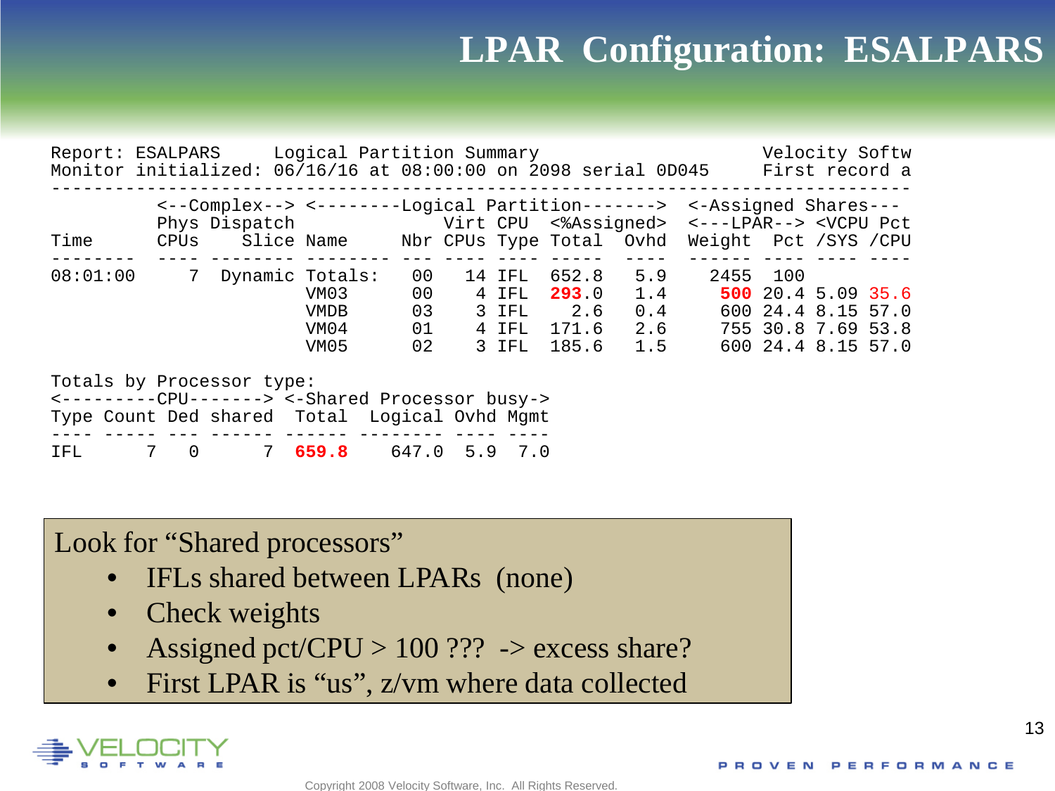## **LPAR Configuration: ESALPARS**

| Report: ESALPARS Logical Partition Summary<br>Monitor initialized: 06/16/16 at 08:00:00 on 2098 serial 0D045 First record a          |                     |                                                                                                                                                                                                                |                                                 |                      |           |                                   |                                                           |            |  |          |                                                                                      | Velocity Softw |
|--------------------------------------------------------------------------------------------------------------------------------------|---------------------|----------------------------------------------------------------------------------------------------------------------------------------------------------------------------------------------------------------|-------------------------------------------------|----------------------|-----------|-----------------------------------|-----------------------------------------------------------|------------|--|----------|--------------------------------------------------------------------------------------|----------------|
| Time                                                                                                                                 |                     | <--Complex--> <--------Logical Partition-------> <-Assigned Shares---<br>Phys Dispatch Virt CPU <%Assigned> <---LPAR--> <vcpu pct<br="">CPUs Slice Name Mbr CPUs Type Total Ovhd Weight Pct / SYS / CPU</vcpu> |                                                 |                      |           |                                   |                                                           |            |  |          |                                                                                      |                |
| 08:01:00                                                                                                                             |                     | 7 Dynamic Totals:                                                                                                                                                                                              | VM03<br><b>VMDB</b><br>VM04<br>VM <sub>05</sub> | 00<br>00<br>03<br>02 | 01        | 14 IFL<br>4 IFL<br>3 IFL<br>3 IFL | 652.8<br>293.0 1.4<br>2.6<br>4 IFL 171.6 2.6<br>185.6 1.5 | 5.9<br>0.4 |  | 2455 100 | 500 20.4 5.09 35.6<br>600 24.4 8.15 57.0<br>755 30.8 7.69 53.8<br>600 24.4 8.15 57.0 |                |
| Totals by Processor type:<br><---------CPU-------> <-Shared Processor busy-><br>Type Count Ded shared Total Logical Ovhd Mgmt<br>IFL | 7<br>$\overline{0}$ |                                                                                                                                                                                                                | 7, 659.8                                        |                      | 647.0 5.9 | 7.0                               |                                                           |            |  |          |                                                                                      |                |

Look for "Shared processors"

- IFLs shared between LPARs (none)
- Check weights
- Assigned pct/CPU >  $100$  ??? -> excess share?
- First LPAR is "us", z/vm where data collected

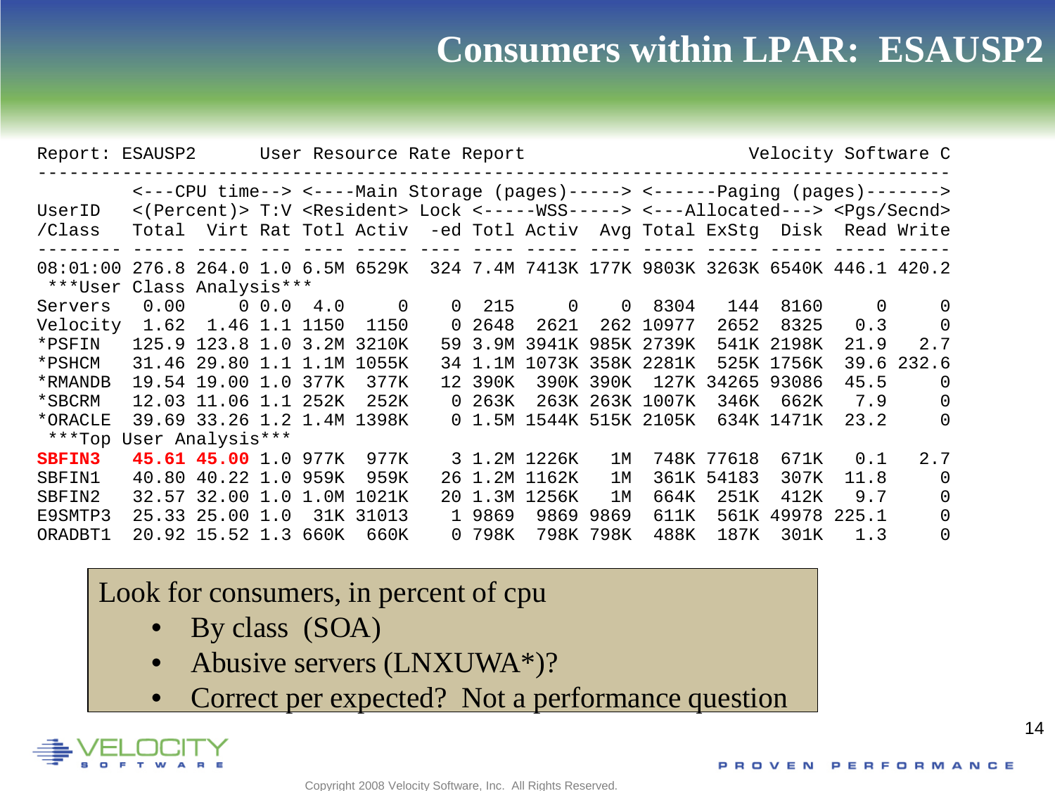#### **Consumers within LPAR: ESAUSP2**

| Velocity Software C<br>Report: ESAUSP2<br>User Resource Rate Report |                                                                                                                                                                                                                                                                                 |                            |  |               |            |          |        |               |           |                         |            |                                                   |          |          |
|---------------------------------------------------------------------|---------------------------------------------------------------------------------------------------------------------------------------------------------------------------------------------------------------------------------------------------------------------------------|----------------------------|--|---------------|------------|----------|--------|---------------|-----------|-------------------------|------------|---------------------------------------------------|----------|----------|
| UserID<br>/Class                                                    | <---CPU time--> <----Main Storage (pages)-----> <------Paging (pages)-------><br><(Percent)> T:V <resident> Lock &lt;-----WSS-----&gt; &lt;---Allocated---&gt; <pgs secnd=""><br/>Virt Rat Totl Activ -ed Totl Activ Avg Total ExStg Disk Read Write<br/>Total</pgs></resident> |                            |  |               |            |          |        |               |           |                         |            |                                                   |          |          |
| 08:01:00<br>***User                                                 | 276.8 264.0 1.0 6.5M 6529K<br>Class Analysis***                                                                                                                                                                                                                                 |                            |  |               |            |          |        |               |           |                         |            | 324 7.4M 7413K 177K 9803K 3263K 6540K 446.1 420.2 |          |          |
| Servers                                                             | 0.00                                                                                                                                                                                                                                                                            |                            |  | $0\ 0.0\ 4.0$ | $\Omega$   | $\Omega$ | 215    | $\Omega$      | $\Omega$  | 8304                    | 144        | 8160                                              | $\Omega$ | $\Omega$ |
| Velocity                                                            | 1.62                                                                                                                                                                                                                                                                            | 1.46 1.1 1150              |  |               | 1150       | $\Omega$ | 2648   | 2621          |           | 262 10977               | 2652       | 8325                                              | 0.3      | 0        |
| *PSFIN                                                              |                                                                                                                                                                                                                                                                                 | 125.9 123.8 1.0 3.2M 3210K |  |               |            | 59       | 3.9M   |               |           | 3941K 985K 2739K        |            | 541K 2198K                                        | 21.9     | 2.7      |
| *PSHCM                                                              | 31.46                                                                                                                                                                                                                                                                           | 29.80 1.1                  |  | 1.1M          | 1055K      | 34       | - 1 M  |               |           | 1073K 358K 2281K        |            | 525K 1756K                                        | 39.6     | 232.6    |
| *RMANDB                                                             | 19.54                                                                                                                                                                                                                                                                           | 19.00 1.0                  |  | 377K          | 377K       | 12       | 390K   | 390K          | 390K      | 127K                    | 34265      | 93086                                             | 45.5     | $\Omega$ |
| *SBCRM                                                              |                                                                                                                                                                                                                                                                                 | 12.03 11.06 1.1 252K       |  |               | 252K       |          | 0.263K |               |           | 263K 263K 1007K         | 346K       | 662K                                              | 7.9      | $\Omega$ |
| *ORACLE                                                             |                                                                                                                                                                                                                                                                                 | 39.69 33.26 1.2 1.4M 1398K |  |               |            |          |        |               |           | 0 1.5M 1544K 515K 2105K |            | 634K 1471K                                        | 23.2     | $\Omega$ |
| ***Top User Analysis***                                             |                                                                                                                                                                                                                                                                                 |                            |  |               |            |          |        |               |           |                         |            |                                                   |          |          |
| <b>SBFIN3</b>                                                       |                                                                                                                                                                                                                                                                                 | 45.61 45.00 1.0            |  | 977K          | 977K       |          |        | 3 1.2M 1226K  | 1 M       |                         | 748K 77618 | 671K                                              | 0.1      | 2.7      |
| SBFIN1                                                              | 40.80                                                                                                                                                                                                                                                                           | $40.22$ $1.0$              |  | 959K          | 959K       |          |        | 26 1.2M 1162K | 1 M       |                         | 361K 54183 | 307K                                              | 11.8     | $\Omega$ |
| SBFIN2                                                              | 32.57                                                                                                                                                                                                                                                                           | 32.00 1.0                  |  |               | 1.0M 1021K | 20       | 1.3M   | 1256K         | 1 M       | 664K                    | 251K       | 412K                                              | 9.7      | 0        |
| E9SMTP3                                                             | 25.33                                                                                                                                                                                                                                                                           | 25.00 1.0                  |  |               | 31K 31013  |          | 1 9869 | 9869          | 9869      | 611K                    | 561K       | 49978                                             | 225.1    | $\Omega$ |
| ORADBT1                                                             |                                                                                                                                                                                                                                                                                 | 20.92 15.52 1.3            |  | 660K          | 660K       |          | 0 798K |               | 798K 798K | 488K                    | 187K       | 301K                                              | 1.3      | $\Omega$ |

#### Look for consumers, in percent of cpu

- By class (SOA)
- Abusive servers (LNXUWA\*)?
- Correct per expected? Not a performance question

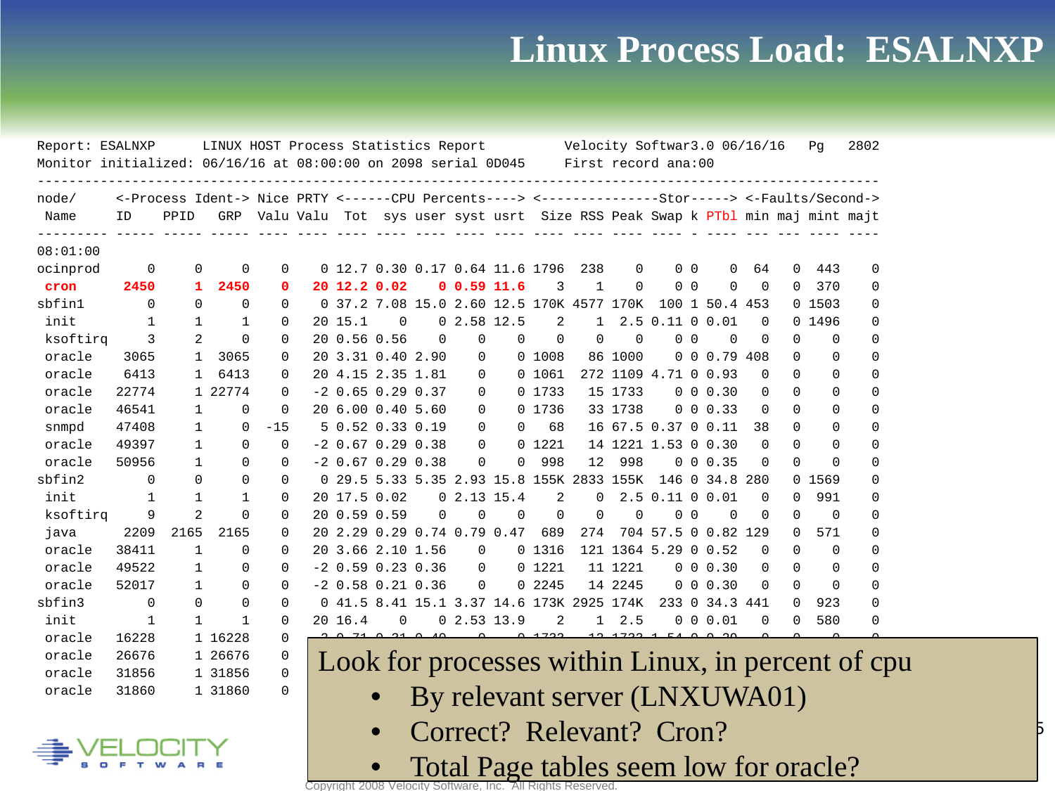#### **Linux Process Load: ESALNXP**

15

| Report: ESALNXP                                                                    |                |      | LINUX HOST Process Statistics Report                                                             |                                                                                  |                     |                |                             |               |                                 |                                           |              |               | Velocity Softwar3.0 06/16/16 |                |                      |          |          | Pq       | 2802                                               |
|------------------------------------------------------------------------------------|----------------|------|--------------------------------------------------------------------------------------------------|----------------------------------------------------------------------------------|---------------------|----------------|-----------------------------|---------------|---------------------------------|-------------------------------------------|--------------|---------------|------------------------------|----------------|----------------------|----------|----------|----------|----------------------------------------------------|
| Monitor initialized: 06/16/16 at 08:00:00 on 2098 serial 0D045 First record ana:00 |                |      |                                                                                                  |                                                                                  |                     |                |                             |               |                                 |                                           |              |               |                              |                |                      |          |          |          |                                                    |
| node/                                                                              |                |      | <-Process Ident-> Nice PRTY <------CPU Percents----> <--------------Stor-----> <-Faults/Second-> |                                                                                  |                     |                |                             |               |                                 |                                           |              |               |                              |                |                      |          |          |          |                                                    |
| Name                                                                               | ID             | PPID |                                                                                                  | GRP Valu Valu Tot sys user syst usrt Size RSS Peak Swap k PTbl min maj mint majt |                     |                |                             |               |                                 |                                           |              |               |                              |                |                      |          |          |          |                                                    |
| 08:01:00                                                                           |                |      |                                                                                                  |                                                                                  |                     |                |                             |               |                                 |                                           |              |               |                              |                |                      |          |          |          |                                                    |
| ocinprod                                                                           | $\overline{0}$ |      | $\Omega$<br>0                                                                                    | 0                                                                                |                     |                |                             |               | 0 12.7 0.30 0.17 0.64 11.6 1796 |                                           | 238          | $\Omega$      |                              | 0 <sub>0</sub> | $\Omega$             | 64       | $\Omega$ | 443      | $\Omega$                                           |
| cron                                                                               | 2450           |      | 2450<br>$\mathbf{1}$                                                                             | $\Omega$                                                                         | 20 12.2 0.02        |                |                             | 0, 0.59, 11.6 |                                 | 3                                         | $\mathbf{1}$ | $\Omega$      |                              | 0 <sub>0</sub> | $\Omega$             | $\Omega$ | 0        | 370      | <sup>0</sup>                                       |
| sbfinl                                                                             | $\Omega$       |      | $\Omega$<br>$\Omega$                                                                             | $\Omega$                                                                         |                     |                |                             |               |                                 | 0 37.2 7.08 15.0 2.60 12.5 170K 4577 170K |              |               |                              |                | 100 1 50.4 453       |          |          | 01503    | 0                                                  |
| init                                                                               | 1              |      | 1<br>1                                                                                           | $\Omega$                                                                         | 20 15.1             | 0              |                             | 02.5812.5     |                                 | 2                                         | $\mathbf{1}$ |               | 2.5 0.11 0 0.01              |                |                      | $\Omega$ |          | 0 1496   | 0                                                  |
| ksoftirq                                                                           | 3              |      | 2<br>$\Omega$                                                                                    | $\Omega$                                                                         | 20 0.56 0.56        |                | 0                           | 0             | $\Omega$                        | $\Omega$                                  | $\Omega$     | $\Omega$      | 0 <sub>0</sub>               |                | $\Omega$             | $\Omega$ | 0        | 0        | 0                                                  |
| oracle                                                                             | 3065           |      | 3065<br>1                                                                                        | $\Omega$                                                                         | 20 3.31 0.40 2.90   |                |                             | 0             |                                 | 0,1008                                    |              | 86 1000       |                              |                | $0 \t0 \t0.79 \t408$ |          | 0        | $\Omega$ | 0                                                  |
| oracle                                                                             | 6413           |      | 6413<br>1                                                                                        | $\Omega$                                                                         | 20 4.15 2.35 1.81   |                |                             | 0             |                                 | 0 1061                                    |              |               | 272 1109 4.71 0 0.93         |                |                      | $\Omega$ | 0        | 0        | 0                                                  |
| oracle                                                                             | 22774          |      | 1 22774                                                                                          | $\Omega$                                                                         | $-2$ 0.65 0.29 0.37 |                |                             | 0             |                                 | 0 1733                                    |              | 15 1733       |                              |                | 0 0 0.30             | 0        | 0        | 0        | 0                                                  |
| oracle                                                                             | 46541          |      | $\Omega$<br>1                                                                                    | $\Omega$                                                                         | 20 6.00 0.40 5.60   |                |                             | 0             |                                 | 0 1736                                    |              | 33 1738       |                              |                | $0 \t0 \t0.33$       | $\Omega$ | 0        | 0        | 0                                                  |
| snmpd                                                                              | 47408          |      | $\mathbf 1$<br>$\Omega$                                                                          | $-15$                                                                            | 5 0.52 0.33 0.19    |                |                             | 0             | $\Omega$                        | 68                                        |              |               | 16 67.5 0.37 0 0.11          |                |                      | 38       | $\Omega$ | $\Omega$ | $\Omega$                                           |
| oracle                                                                             | 49397          |      | $\Omega$<br>$\mathbf{1}$                                                                         | $\Omega$                                                                         | $-2$ 0.67 0.29 0.38 |                |                             | $\Omega$      |                                 | 0 1221                                    |              |               | 14 1221 1.53 0 0.30          |                |                      | $\Omega$ | 0        | $\Omega$ | 0                                                  |
| oracle                                                                             | 50956          |      | $\mathbf{1}$<br>$\Omega$                                                                         | $\Omega$                                                                         | $-2$ 0.67 0.29 0.38 |                |                             | $\Omega$      | $\Omega$                        | 998                                       | 12           | 998           |                              |                | $0 \t0 \t0.35$       | $\Omega$ | $\Omega$ | $\Omega$ | <sup>0</sup>                                       |
| sbfin2                                                                             | $\Omega$       |      | $\Omega$<br>$\Omega$                                                                             | $\Omega$                                                                         |                     |                |                             |               |                                 | 0 29.5 5.33 5.35 2.93 15.8 155K 2833 155K |              |               |                              |                | 146 0 34.8 280       |          |          | 0 1569   | $\Omega$                                           |
| init                                                                               | $\mathbf 1$    |      | $\mathbf{1}$<br>$\mathbf{1}$                                                                     | $\Omega$                                                                         | 20 17.5 0.02        |                |                             | 02.1315.4     |                                 | 2                                         | $\Omega$     |               | $2.5$ 0.11 0                 |                | 0.01                 | $\Omega$ | 0        | 991      | $\Omega$                                           |
| ksoftirq                                                                           | 9              |      | $\overline{2}$<br>$\Omega$                                                                       | $\Omega$                                                                         | 20 0.59 0.59        |                | $\mathbf 0$                 | $\Omega$      | $\mathbf 0$                     | $\mathbf 0$                               | $\Omega$     | $\mathbf 0$   |                              | 0 <sub>0</sub> | $\Omega$             | $\Omega$ | $\Omega$ | $\Omega$ | 0                                                  |
| java                                                                               | 2209           | 2165 | 2165                                                                                             | $\Omega$                                                                         |                     |                | 20 2.29 0.29 0.74 0.79 0.47 |               |                                 | 689                                       | 274          |               | 704 57.5 0 0.82 129          |                |                      |          | $\Omega$ | 571      | 0                                                  |
| oracle                                                                             | 38411          |      | 1<br>$\Omega$                                                                                    | $\Omega$                                                                         |                     |                | 20 3.66 2.10 1.56           | $\mathbf 0$   |                                 | 0 1316                                    |              |               | 121 1364 5.29 0 0.52         |                |                      | $\Omega$ | $\Omega$ | $\Omega$ | 0                                                  |
| oracle                                                                             | 49522          |      | $\mathbf{1}$<br>$\Omega$                                                                         | $\Omega$                                                                         |                     |                | $-2$ 0.59 0.23 0.36         | $\Omega$      |                                 | 0 1221                                    |              | 11 1221       |                              |                | $0 \t0 \t0.30$       | $\Omega$ | $\Omega$ | $\Omega$ | 0                                                  |
| oracle                                                                             | 52017          |      | $\Omega$<br>1                                                                                    | $\Omega$                                                                         | $-2$ 0.58 0.21 0.36 |                |                             | 0             |                                 | 0 2245                                    |              | 14 2245       |                              |                | $0 \t0 \t0.30$       | $\Omega$ | $\Omega$ | $\Omega$ | 0                                                  |
| sbfin3                                                                             | $\Omega$       |      | $\Omega$<br>$\Omega$                                                                             | $\Omega$                                                                         |                     |                |                             |               |                                 | 0 41.5 8.41 15.1 3.37 14.6 173K 2925 174K |              |               |                              |                | 233 0 34.3 441       |          | 0        | 923      | 0                                                  |
| init                                                                               | $\mathbf{1}$   |      | $\mathbf{1}$<br>1                                                                                | $\Omega$                                                                         | 20 16.4             | $\overline{0}$ |                             | 02.5313.9     |                                 | 2                                         |              | $1 \quad 2.5$ |                              |                | $0 \t0 \t0.01$       | 0        | 0        | 580      | 0                                                  |
| oracle                                                                             | 16228          |      | 1 16228                                                                                          | $\Omega$                                                                         |                     |                | $0.21$ $0.40$               |               |                                 | 0.1733                                    |              |               |                              |                |                      |          |          |          |                                                    |
| oracle                                                                             | 26676          |      | 1 26676                                                                                          | 0                                                                                |                     |                |                             |               |                                 |                                           |              |               |                              |                |                      |          |          |          | Look for processes within Linux, in percent of cpu |
| oracle                                                                             | 31856          |      | 1 31856                                                                                          | $\Omega$                                                                         |                     |                |                             |               |                                 |                                           |              |               |                              |                |                      |          |          |          |                                                    |
| oracle                                                                             | 31860          |      | 1 31860                                                                                          | $\Omega$                                                                         |                     |                |                             |               |                                 | By relevant server (LNXUWA01)             |              |               |                              |                |                      |          |          |          |                                                    |
|                                                                                    |                |      |                                                                                                  |                                                                                  |                     |                |                             |               |                                 | Correct? Relevant? Cron?                  |              |               |                              |                |                      |          |          |          |                                                    |

**•** Total Page tables seem low for oracle?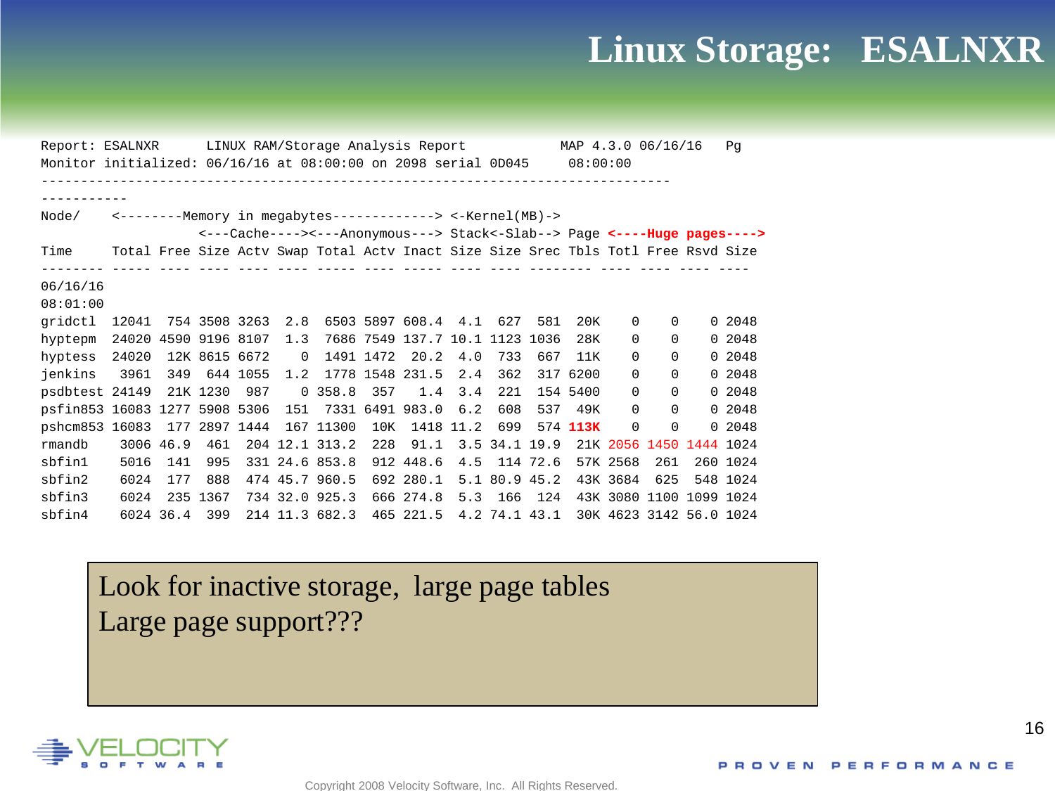#### **Linux Storage: ESALNXR**

Report: ESALNXR LINUX RAM/Storage Analysis Report MAP 4.3.0 06/16/16 Pg Monitor initialized: 06/16/16 at 08:00:00 on 2098 serial 0D045 08:00:00 -------------------------------------------------------------------------------- ----------- Node/ <--------Memory in megabytes-------------> <-Kernel(MB)-> <---Cache----><---Anonymous---> Stack<-Slab--> Page **<----Huge pages---->** Time Total Free Size Actv Swap Total Actv Inact Size Size Srec Tbls Totl Free Rsvd Size -------- ----- ---- ---- ---- ---- ----- ---- ----- ---- ---- -------- ---- ---- ---- ---- 06/16/16 08:01:00 gridctl 12041 754 3508 3263 2.8 6503 5897 608.4 4.1 627 581 20K 0 0 0 2048 hyptepm 24020 4590 9196 8107 1.3 7686 7549 137.7 10.1 1123 1036 28K 0 0 0 2048 hyptess 24020 12K 8615 6672 0 1491 1472 20.2 4.0 733 667 11K 0 0 0 2048 jenkins 3961 349 644 1055 1.2 1778 1548 231.5 2.4 362 317 6200 0 0 0 2048 psdbtest 24149 21K 1230 987 0 358.8 357 1.4 3.4 221 154 5400 0 0 0 2048 psfin853 16083 1277 5908 5306 151 7331 6491 983.0 6.2 608 537 49K 0 0 0 2048 pshcm853 16083 177 2897 1444 167 11300 10K 1418 11.2 699 574 **113K** 0 0 0 2048 rmandb 3006 46.9 461 204 12.1 313.2 228 91.1 3.5 34.1 19.9 21K 2056 1450 1444 1024 sbfin1 5016 141 995 331 24.6 853.8 912 448.6 4.5 114 72.6 57K 2568 261 260 1024 sbfin2 6024 177 888 474 45.7 960.5 692 280.1 5.1 80.9 45.2 43K 3684 625 548 1024 sbfin3 6024 235 1367 734 32.0 925.3 666 274.8 5.3 166 124 43K 3080 1100 1099 1024 sbfin4 6024 36.4 399 214 11.3 682.3 465 221.5 4.2 74.1 43.1 30K 4623 3142 56.0 1024

Look for inactive storage, large page tables Large page support???

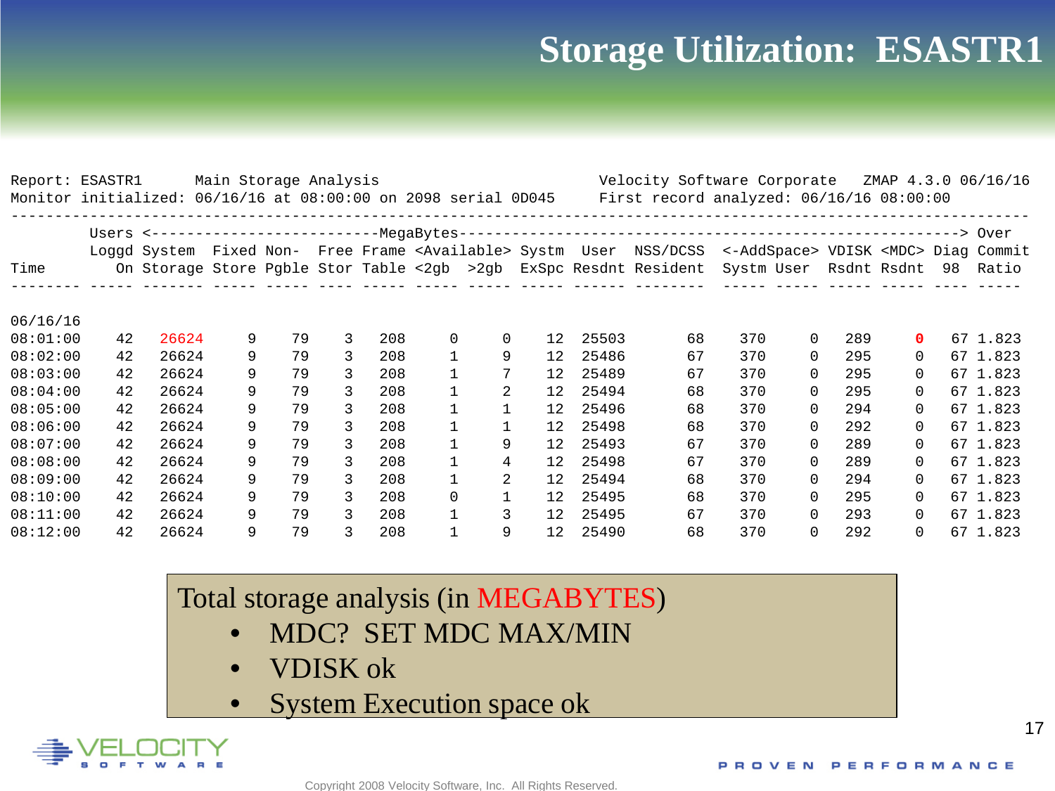#### **Storage Utilization: ESASTR1**

|          | Report: ESASTR1<br>Main Storage Analysis<br>Monitor initialized: 06/16/16 at 08:00:00 on 2098 serial 0D045 |       |   |    |   |     | Velocity Software Corporate<br>ZMAP 4.3.0 06/16/16<br>First record analyzed: $06/16/16$ 08:00:00 |             |                   |       |                                                                                                                                |     |          |                                 |          |  |          |
|----------|------------------------------------------------------------------------------------------------------------|-------|---|----|---|-----|--------------------------------------------------------------------------------------------------|-------------|-------------------|-------|--------------------------------------------------------------------------------------------------------------------------------|-----|----------|---------------------------------|----------|--|----------|
|          |                                                                                                            |       |   |    |   |     |                                                                                                  |             |                   |       |                                                                                                                                |     |          |                                 |          |  |          |
|          |                                                                                                            |       |   |    |   |     |                                                                                                  |             |                   |       |                                                                                                                                |     |          |                                 |          |  |          |
|          |                                                                                                            |       |   |    |   |     |                                                                                                  |             |                   |       | Loggd System Fixed Non- Free Frame <available> Systm User NSS/DCSS &lt;-AddSpace&gt; VDISK <mdc> Diag Commit</mdc></available> |     |          |                                 |          |  |          |
| Time     |                                                                                                            |       |   |    |   |     |                                                                                                  |             |                   |       | On Storage Store Pgble Stor Table <2gb >2gb ExSpc Resdnt Resident                                                              |     |          | Systm User Rsdnt Rsdnt 98 Ratio |          |  |          |
|          |                                                                                                            |       |   |    |   |     |                                                                                                  |             |                   |       |                                                                                                                                |     |          |                                 |          |  |          |
| 06/16/16 |                                                                                                            |       |   |    |   |     |                                                                                                  |             |                   |       |                                                                                                                                |     |          |                                 |          |  |          |
| 08:01:00 | 42                                                                                                         | 26624 | 9 | 79 | 3 | 208 | $\mathbf 0$                                                                                      | $\mathbf 0$ | 12                | 25503 | 68                                                                                                                             | 370 | $\Omega$ | 289                             | 0        |  | 67 1.823 |
| 08:02:00 | 42                                                                                                         | 26624 | 9 | 79 | 3 | 208 | $\mathbf{1}$                                                                                     | 9           | 12                | 25486 | 67                                                                                                                             | 370 | $\Omega$ | 295                             | $\Omega$ |  | 67 1.823 |
| 08:03:00 | 42                                                                                                         | 26624 | 9 | 79 | 3 | 208 | $\mathbf{1}$                                                                                     | 7           | 12                | 25489 | 67                                                                                                                             | 370 | $\Omega$ | 295                             | 0        |  | 67 1.823 |
| 08:04:00 | 42                                                                                                         | 26624 | 9 | 79 | 3 | 208 |                                                                                                  | 2           | 12                | 25494 | 68                                                                                                                             | 370 | $\Omega$ | 295                             | $\Omega$ |  | 67 1.823 |
| 08:05:00 | 42                                                                                                         | 26624 | 9 | 79 | 3 | 208 | 1                                                                                                | 1           | 12 <sup>°</sup>   | 25496 | 68                                                                                                                             | 370 | $\Omega$ | 294                             | $\Omega$ |  | 67 1.823 |
| 08:06:00 | 42                                                                                                         | 26624 | 9 | 79 | 3 | 208 |                                                                                                  |             | 12                | 25498 | 68                                                                                                                             | 370 | $\Omega$ | 292                             | $\Omega$ |  | 67 1.823 |
| 08:07:00 | 42                                                                                                         | 26624 | 9 | 79 | 3 | 208 | 1                                                                                                | 9           | 12                | 25493 | 67                                                                                                                             | 370 | $\Omega$ | 289                             | $\Omega$ |  | 67 1.823 |
| 08:08:00 | 42                                                                                                         | 26624 | 9 | 79 | 3 | 208 | 1                                                                                                | 4           | 12                | 25498 | 67                                                                                                                             | 370 | $\Omega$ | 289                             | $\Omega$ |  | 67 1.823 |
| 08:09:00 | 42                                                                                                         | 26624 | 9 | 79 | 3 | 208 | 1                                                                                                | 2           | $12 \overline{ }$ | 25494 | 68                                                                                                                             | 370 | $\Omega$ | 294                             | $\Omega$ |  | 67 1.823 |
| 08:10:00 | 42                                                                                                         | 26624 | 9 | 79 | 3 | 208 | $\Omega$                                                                                         | 1           | 12 <sup>°</sup>   | 25495 | 68                                                                                                                             | 370 | $\Omega$ | 295                             | 0        |  | 67 1.823 |
| 08:11:00 | 42                                                                                                         | 26624 | 9 | 79 | 3 | 208 | $\mathbf{1}$                                                                                     | 3           | 12                | 25495 | 67                                                                                                                             | 370 | $\Omega$ | 293                             | 0        |  | 67 1.823 |
| 08:12:00 | 42                                                                                                         | 26624 | 9 | 79 |   | 208 | 1                                                                                                | 9           | $12 \overline{ }$ | 25490 | 68                                                                                                                             | 370 | $\Omega$ | 292                             | $\Omega$ |  | 67 1.823 |

#### Total storage analysis (in MEGABYTES)

- MDC? SET MDC MAX/MIN
- VDISK ok
- System Execution space ok

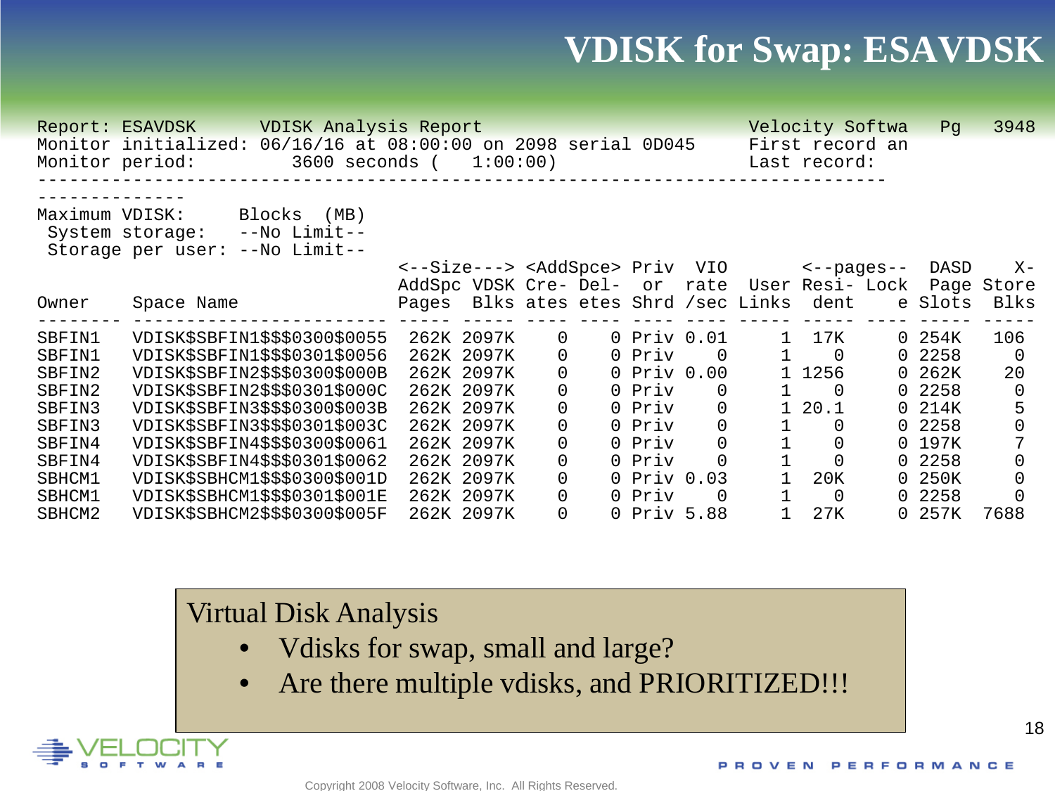#### **VDISK for Swap: ESAVDSK**

|                                                                                                          | VDISK Analysis Report<br>Report: ESAVDSK                                                               |                                               |                                          |          |  |             |          |                                | Velocity Softwa                 |                | Pq      | 3948       |
|----------------------------------------------------------------------------------------------------------|--------------------------------------------------------------------------------------------------------|-----------------------------------------------|------------------------------------------|----------|--|-------------|----------|--------------------------------|---------------------------------|----------------|---------|------------|
|                                                                                                          | 06/16/16 at 08:00:00 on 2098 serial 0D045<br>Monitor initialized:<br>3600 seconds (<br>Monitor period: |                                               | 1:00:00)                                 |          |  |             |          |                                | First record an<br>Last record: |                |         |            |
| Maximum VDISK:<br>Blocks<br>(MB)<br>--No Limit--<br>System storage:<br>--No Limit--<br>Storage per user: |                                                                                                        |                                               |                                          |          |  |             |          |                                |                                 |                |         |            |
|                                                                                                          |                                                                                                        |                                               | <--Size---> <addspce> Priv VIO</addspce> |          |  |             |          |                                | $\leftarrow$ -pages--           |                | DASD    | $X -$      |
|                                                                                                          |                                                                                                        | AddSpc VDSK Cre- Del- or rate User Resi- Lock |                                          |          |  |             |          |                                |                                 |                |         | Page Store |
| Owner                                                                                                    | Space Name                                                                                             | Pages                                         |                                          |          |  |             |          | Blks ates etes Shrd /sec Links | dent                            |                | e Slots | Blks       |
| SBFIN1                                                                                                   | VDISK\$SBFIN1\$\$\$0300\$0055                                                                          |                                               | 262K 2097K                               | 0        |  | 0 Priv 0.01 |          |                                | 1 7 K                           | $\Omega$       | 254K    | 106        |
| SBFIN1                                                                                                   | VDISK\$SBFIN1\$\$\$0301\$0056                                                                          |                                               | 262K 2097K                               | 0        |  | 0 Priv      | $\Omega$ |                                | - 0                             | $\overline{0}$ | 2258    | $\Omega$   |
| SBFIN2                                                                                                   | VDISK\$SBFIN2\$\$\$0300\$000B                                                                          |                                               | 262K 2097K                               | 0        |  | 0 Priv 0.00 |          |                                | 1256                            | 0              | 262K    | 20         |
| SBFIN2                                                                                                   | VDISK\$SBFIN2\$\$\$0301\$000C                                                                          |                                               | 262K 2097K                               | 0        |  | 0 Priv      |          |                                | $\Omega$                        | 0              | 2258    | $\Omega$   |
| SBFIN3                                                                                                   | VDISK\$SBFIN3\$\$\$0300\$003B                                                                          |                                               | 262K 2097K                               | 0        |  | 0 Priv      | $\Omega$ |                                | 20.1                            |                | 0 214K  |            |
| SBFIN3                                                                                                   | VDISK\$SBFIN3\$\$\$0301\$003C                                                                          |                                               | 262K 2097K                               | 0        |  | 0 Priv      | $\Omega$ |                                | 0                               | $\Omega$       | 2258    | $\Omega$   |
| SBFIN4                                                                                                   | VDISK\$SBFIN4\$\$\$0300\$0061                                                                          |                                               | 262K 2097K                               | 0        |  | 0 Priv      | $\Omega$ |                                |                                 |                | 0 197K  |            |
| SBFIN4                                                                                                   | VDISK\$SBFIN4\$\$\$0301\$0062                                                                          |                                               | 262K 2097K                               | $\Omega$ |  | 0 Priv      |          |                                |                                 | 0              | 2258    | $\Omega$   |
| SBHCM1                                                                                                   | VDISK\$SBHCM1\$\$\$0300\$001D                                                                          |                                               | 262K 2097K                               | 0        |  | 0 Priv 0.03 |          |                                | 20K                             | 0              | 250K    | $\Omega$   |
| SBHCM1                                                                                                   | VDISK\$SBHCM1\$\$\$0301\$001E                                                                          |                                               | 262K 2097K                               | 0        |  | 0 Priv      |          |                                | 0                               | 0              | 2258    |            |
| SBHCM2                                                                                                   | VDISK\$SBHCM2\$\$\$0300\$005F                                                                          |                                               | 262K 2097K                               | 0        |  | 0 Priv 5.88 |          |                                | 27K                             | $\Omega$       | 257K    | 7688       |

#### Virtual Disk Analysis

- Vdisks for swap, small and large?
- Are there multiple vdisks, and PRIORITIZED!!!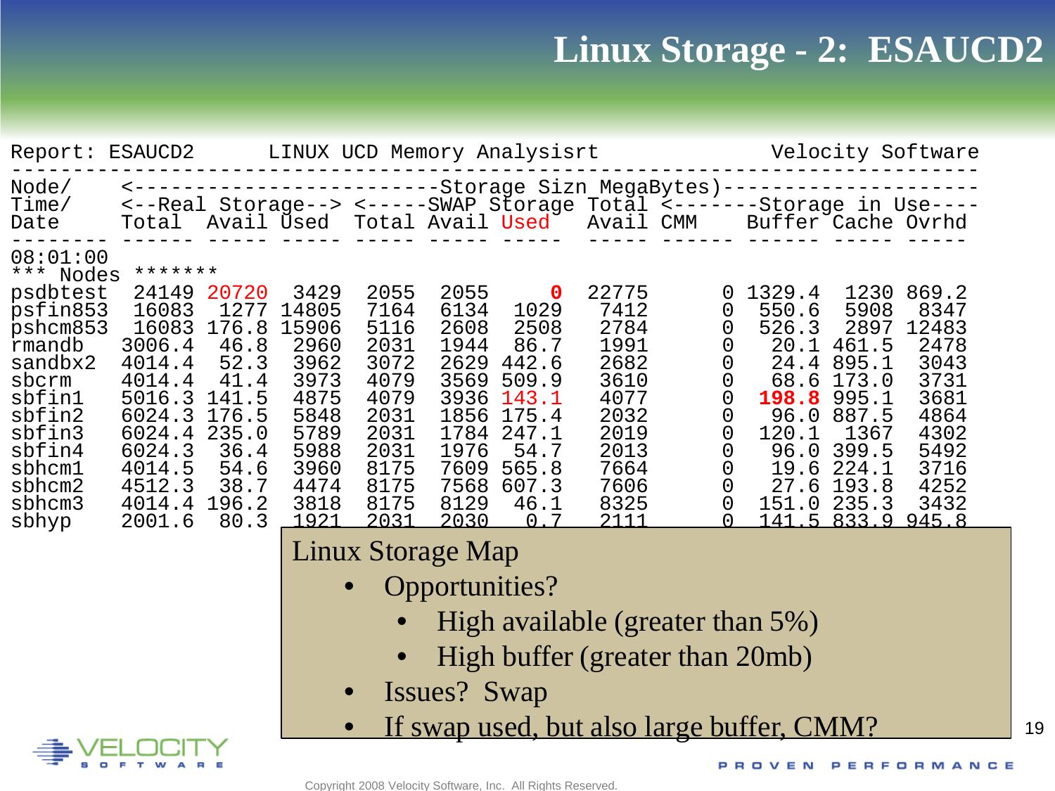## **Linux Storage - 2: ESAUCD2**

| Report: ESAUCD2                                                                                                                                                                             |                                                                                                                                                              |                                                                                                  |                                                                                                                | Velocity Software<br>LINUX UCD Memory Analysisrt                                                             |                                                                                                              |                                                                                                                                      |                                                                                                               |                                                                       |                                                                                                                                                                     |                                                                                                                                          |                                                                                                        |  |  |
|---------------------------------------------------------------------------------------------------------------------------------------------------------------------------------------------|--------------------------------------------------------------------------------------------------------------------------------------------------------------|--------------------------------------------------------------------------------------------------|----------------------------------------------------------------------------------------------------------------|--------------------------------------------------------------------------------------------------------------|--------------------------------------------------------------------------------------------------------------|--------------------------------------------------------------------------------------------------------------------------------------|---------------------------------------------------------------------------------------------------------------|-----------------------------------------------------------------------|---------------------------------------------------------------------------------------------------------------------------------------------------------------------|------------------------------------------------------------------------------------------------------------------------------------------|--------------------------------------------------------------------------------------------------------|--|--|
| Node/<br>Time/<br>Date                                                                                                                                                                      |                                                                                                                                                              |                                                                                                  |                                                                                                                |                                                                                                              |                                                                                                              | Total Avail Used Total Avail Used                                                                                                    |                                                                                                               | Avail CMM                                                             | <---------------------------Storage Sizn MegaBytes) ---------------<br><--Real Storage--> <-----SWAP Storage Total <-------Storage in Use----<br>Buffer Cache Ovrhd |                                                                                                                                          |                                                                                                        |  |  |
| 08:01:00<br>*** Nodes<br>psdbtest<br>psfin853<br>pshcm853<br>rmandb<br>sandbx2<br>sbcrm<br>sbfinl<br>sbfin2<br>sbfin3<br>sbfin4<br>sbhcm1<br>sbhcm2<br>sbhcm3<br>sbhyp                      | *******<br>24149<br>16083<br>16083<br>3006.4<br>4014.4<br>4014.4<br>5016.3 141.5<br>6024.3<br>6024.4<br>6024.3<br>4014.5<br>4512.3<br>4014.4 196.2<br>2001.6 | 20720<br>1277<br>176.8<br>46.8<br>52.3<br>41.4<br>176.5<br>235.0<br>36.4<br>54.6<br>38.7<br>80.3 | 3429<br>14805<br>15906<br>2960<br>3962<br>3973<br>4875<br>5848<br>5789<br>5988<br>3960<br>4474<br>3818<br>1921 | 2055<br>7164<br>5116<br>2031<br>3072<br>4079<br>4079<br>2031<br>2031<br>2031<br>8175<br>8175<br>8175<br>2031 | 2055<br>6134<br>2608<br>1944<br>2629<br>3569<br>3936<br>1856<br>1784<br>1976<br>7609<br>7568<br>8129<br>2030 | $\mathbf 0$<br>1029<br>2508<br>86.7<br>442.6<br>509.9<br>143.1<br>175.4<br>247.1<br>54.7<br>565.8<br>607.3<br>46.1<br>-7<br>$\Omega$ | 22775<br>7412<br>2784<br>1991<br>2682<br>3610<br>4077<br>2032<br>2019<br>2013<br>7664<br>7606<br>8325<br>2111 | 0<br>0<br>0<br>0<br>0<br>0<br>0<br>0<br>$\overline{0}$<br>0<br>0<br>0 | 1329.4<br>550.6<br>526.3<br>20.1<br>24.4<br>68.6<br>198.8<br>96.0<br>120.1<br>96.0<br>19.6<br>27.6                                                                  | 1230<br>5908<br>2897<br>461.5<br>895.1<br>173.0<br>995.1<br>887.5<br>1367<br>399.5<br>224.1<br>193.8<br>151.0 235.3<br>141.5 833.9 945.8 | 869.2<br>8347<br>12483<br>2478<br>3043<br>3731<br>3681<br>4864<br>4302<br>5492<br>3716<br>4252<br>3432 |  |  |
| Linux Storage Map<br><b>Opportunities?</b><br>High available (greater than 5%)<br>High buffer (greater than 20mb)<br>Issues? Swap<br>$\bullet$<br>If swap used, but also large buffer, CMM? |                                                                                                                                                              |                                                                                                  |                                                                                                                |                                                                                                              |                                                                                                              |                                                                                                                                      |                                                                                                               |                                                                       |                                                                                                                                                                     |                                                                                                                                          |                                                                                                        |  |  |



19

Copyright 2008 Velocity Software, Inc. All Rights Reserved.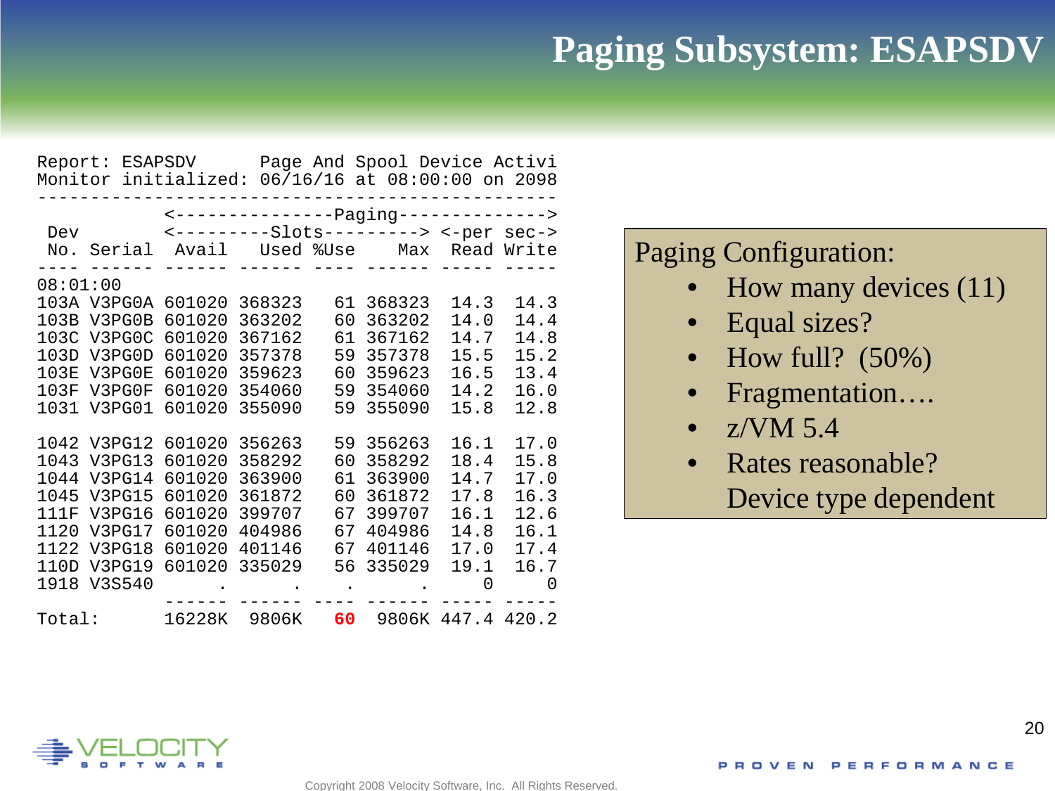#### **Paging Subsystem: ESAPSDV**

|             | Report: ESAPSDV<br>Monitor initialized: 06/16/16 at 08:00:00 on 2098 |        |        |    | Page And Spool Device Activi            |                   |      |  |  |  |  |  |
|-------------|----------------------------------------------------------------------|--------|--------|----|-----------------------------------------|-------------------|------|--|--|--|--|--|
|             |                                                                      |        |        |    | <-----------------paging--------------> |                   |      |  |  |  |  |  |
|             | <b>Dev</b>                                                           |        |        |    | <---------Slots---------> <-per sec->   |                   |      |  |  |  |  |  |
| No.         |                                                                      |        |        |    | Serial Avail Used %Use Max Read Write   |                   |      |  |  |  |  |  |
|             | 08:01:00                                                             |        |        |    |                                         |                   |      |  |  |  |  |  |
|             | 103A V3PG0A                                                          | 601020 | 368323 | 61 | 368323                                  | 14.3              | 14.3 |  |  |  |  |  |
| 103B        | V3PG0B                                                               | 601020 | 363202 | 60 | 363202                                  | 14.0              | 14.4 |  |  |  |  |  |
|             | 103C V3PG0C                                                          | 601020 | 367162 | 61 | 367162                                  | 14.7              | 14.8 |  |  |  |  |  |
| 103D        | V3PG0D                                                               | 601020 | 357378 | 59 | 357378                                  | 15.5              | 15.2 |  |  |  |  |  |
| 103E        | V3PG0E                                                               | 601020 | 359623 | 60 | 359623                                  | 16.5              | 13.4 |  |  |  |  |  |
| 103F        | V3PG0F                                                               | 601020 | 354060 | 59 | 354060                                  | 14.2              | 16.0 |  |  |  |  |  |
| 1031        | V3PG01                                                               | 601020 | 355090 | 59 | 355090                                  | 15.8              | 12.8 |  |  |  |  |  |
|             | 1042 V3PG12                                                          | 601020 | 356263 |    | 59 356263                               | 16.1              | 17.0 |  |  |  |  |  |
| 1043        | V3PG13                                                               | 601020 | 358292 | 60 | 358292                                  | 18.4              | 15.8 |  |  |  |  |  |
| 1044        | V3PG14                                                               | 601020 | 363900 | 61 | 363900                                  | 14.7              | 17.0 |  |  |  |  |  |
| 1045        | V3PG15                                                               | 601020 | 361872 | 60 | 361872                                  | 17.8              | 16.3 |  |  |  |  |  |
| <b>111F</b> | V3PG16                                                               | 601020 | 399707 | 67 | 399707                                  | 16.1              | 12.6 |  |  |  |  |  |
| 1120        | V3PG17                                                               | 601020 | 404986 | 67 | 404986                                  | 14.8              | 16.1 |  |  |  |  |  |
| 1122        | V3PG18                                                               | 601020 | 401146 | 67 | 401146                                  | 17.0              | 17.4 |  |  |  |  |  |
| 110D        | V3PG19                                                               | 601020 | 335029 | 56 | 335029                                  | 19.1              | 16.7 |  |  |  |  |  |
| 1918        | V3S540                                                               |        |        |    |                                         | 0                 | 0    |  |  |  |  |  |
| Total:      |                                                                      | 16228K | 9806K  | 60 |                                         | 9806K 447.4 420.2 |      |  |  |  |  |  |

#### Paging Configuration:

- How many devices (11)
- Equal sizes?
- How full?  $(50\%)$
- Fragmentation….
- $\bullet$  z/VM 5.4
- Rates reasonable? Device type dependent

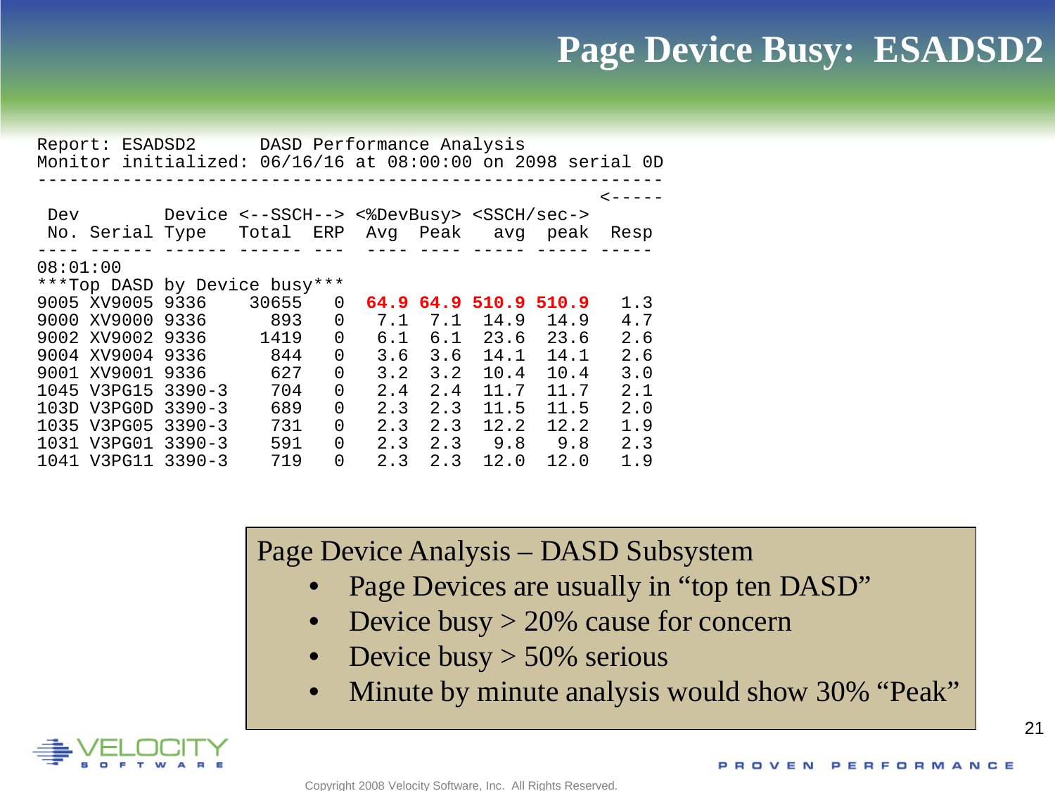#### **Page Device Busy: ESADSD2**

|          | Report: ESADSD2 DASD Performance Analysis                   |                                                    |       |          |      |     |                  |      |      |  |
|----------|-------------------------------------------------------------|----------------------------------------------------|-------|----------|------|-----|------------------|------|------|--|
|          | Monitor initialized: 06/16/16 at 08:00:00 on 2098 serial OD |                                                    |       |          |      |     |                  |      |      |  |
|          |                                                             |                                                    |       |          |      |     |                  |      |      |  |
|          |                                                             |                                                    |       |          |      |     |                  |      |      |  |
|          |                                                             |                                                    |       |          |      |     |                  |      |      |  |
| Dev      |                                                             | Device <--SSCH--> <%DevBusy> <ssch sec-=""></ssch> |       |          |      |     |                  |      |      |  |
|          | No. Serial Type Total ERP Avg Peak                          |                                                    |       |          |      |     | avg peak         |      | Resp |  |
|          |                                                             |                                                    |       |          |      |     |                  |      |      |  |
| 08:01:00 |                                                             |                                                    |       |          |      |     |                  |      |      |  |
|          | ***Top DASD by Device busy***                               |                                                    |       |          |      |     |                  |      |      |  |
|          | 9005 XV9005 9336                                            |                                                    | 30655 | 0        | 64.9 |     | 64.9 510.9 510.9 |      | 1.3  |  |
|          |                                                             |                                                    |       |          |      |     |                  |      |      |  |
| 9000     | XV9000 9336                                                 |                                                    | 893   | 0        | 7.1  | 7.1 | 14.9             | 14.9 | 4.7  |  |
|          | 9002 XV9002 9336                                            |                                                    | 1419  | $\Omega$ | 6.1  |     | $6.1\quad 23.6$  | 23.6 | 2.6  |  |
|          | 9004 XV9004 9336                                            |                                                    | 844   | 0        | 3.6  | 3.6 | 14.1             | 14.1 | 2.6  |  |
|          | 9001 XV9001                                                 | 9336                                               | 627   | 0        | 3.2  | 3.2 | 10.4             | 10.4 | 3.0  |  |
| 1045     | V3PG15                                                      | $3390 - 3$                                         | 704   | $\Omega$ | 2.4  | 2.4 | 11.7             | 11.7 | 2.1  |  |
| 103D.    | V3PG0D                                                      | $3390 - 3$                                         | 689   | 0        | 2.3  | 2.3 | 11.5             | 11.5 | 2.0  |  |
| 1035     | V3PG05                                                      | $3390 - 3$                                         | 731   | 0        | 2.3  | 2.3 | 12.2             | 12.2 | 1.9  |  |
| 1031     | V3PG01                                                      | $3390 - 3$                                         | 591   | $\Omega$ | 2.3  | 2.3 | 9.8              | 9.8  | 2.3  |  |
|          | 1041 V3PG11 3390-3                                          |                                                    | 719   | 0        | 2.3  | 2.3 | 12.0             | 12.0 | 1.9  |  |

Page Device Analysis – DASD Subsystem

- Page Devices are usually in "top ten DASD"
- Device busy  $> 20\%$  cause for concern
- Device busy  $>$  50% serious
- Minute by minute analysis would show 30% "Peak"

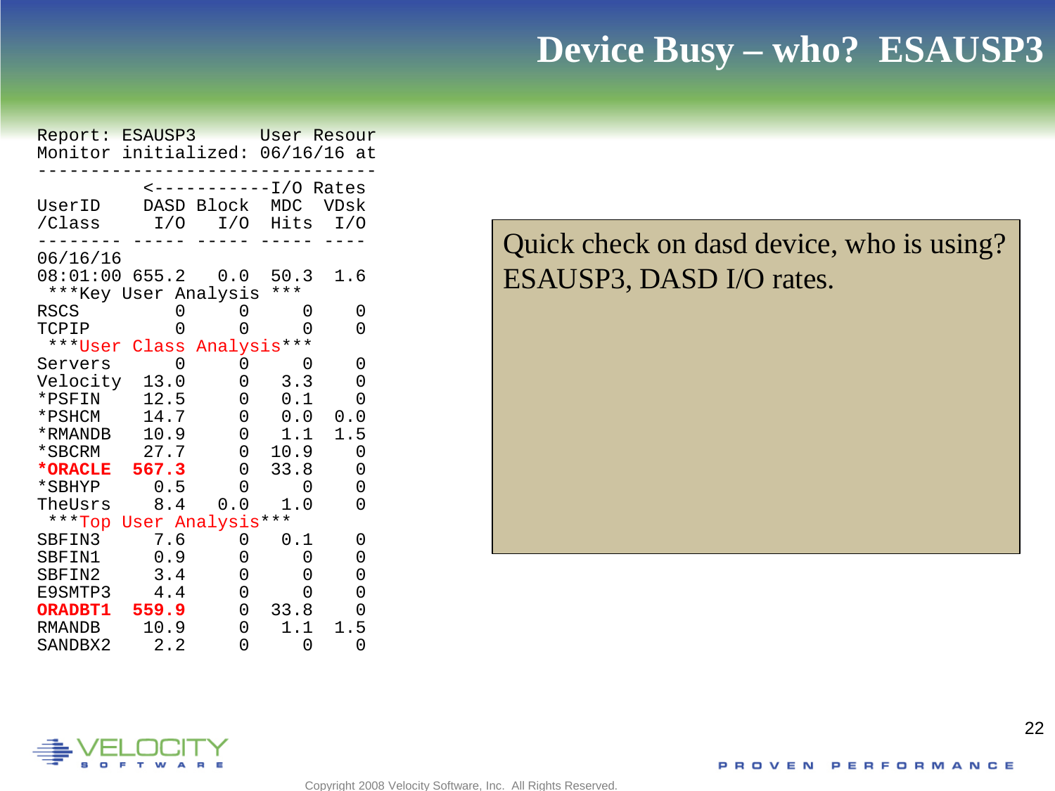#### **Device Busy – who? ESAUSP3**

| Report: ESAUSP3                  |                     |             | User Resour   |                   |
|----------------------------------|---------------------|-------------|---------------|-------------------|
| Monitor initialized: 06/16/16 at |                     |             |               |                   |
|                                  |                     |             |               |                   |
|                                  |                     |             | ----I/O Rates |                   |
| UserID                           |                     | DASD Block  | MDC           | VDsk              |
| /Class                           | I/O                 | I/O         | Hits          | I/O               |
| 06/16/16                         |                     |             |               |                   |
| 08:01:00 655.2                   |                     |             | 0.0 50.3      | 1.6               |
| ***Key User Analysis ***         |                     |             |               |                   |
| RSCS                             | 0                   | 0           | 0             | 0                 |
| TCPIP                            | 0                   | O           | U             | 0                 |
| ***User Class Analysis***        |                     |             |               |                   |
| Servers                          | 0                   | 0           | 0             | 0                 |
| Velocity                         | 13.0                | 0           | 3.3           | 0                 |
| *PSFIN                           | 12.5                | 0           | 0.1           | 0                 |
| *PSHCM                           | 14.7                | 0           | 0.0           | 0.0               |
| *RMANDB                          | 10.9                | 0           | 1.1           | 1.5               |
| *SBCRM                           | 27.7                | $\mathbf 0$ | 10.9          | 0                 |
| *ORACLE 567.3                    |                     | 0           | 33.8          | 0                 |
| *SBHYP                           | 0.5                 | 0           | 0             | 0                 |
| TheUsrs                          | 8.4                 | 0.0         | 1.0           | 0                 |
| ***Top User Analysis***          |                     |             |               |                   |
| SBFIN3                           | 7.6                 | 0           | 0.1           | 0                 |
| SBFIN1                           | 0.9                 | 0           | 0             | 0                 |
| SBFIN2                           | 3.4                 | 0           | 0             | 0                 |
| E9SMTP3                          | 4.4                 | 0           | U             | 0                 |
| <b>ORADBT1</b>                   | 559.9               | 0           | 33.8          | 0                 |
| RMANDB<br>C <sub>2</sub>         | 10.9<br>$\sim$<br>⌒ | 0<br>$\sim$ | 1.1<br>$\cap$ | 5<br>1.<br>$\cap$ |

Quick check on dasd device, who is using? ESAUSP3, DASD I/O rates.

## SANDBX2 2.2 0 0 0

Copyright 2008 Velocity Software, Inc. All Rights Reserved.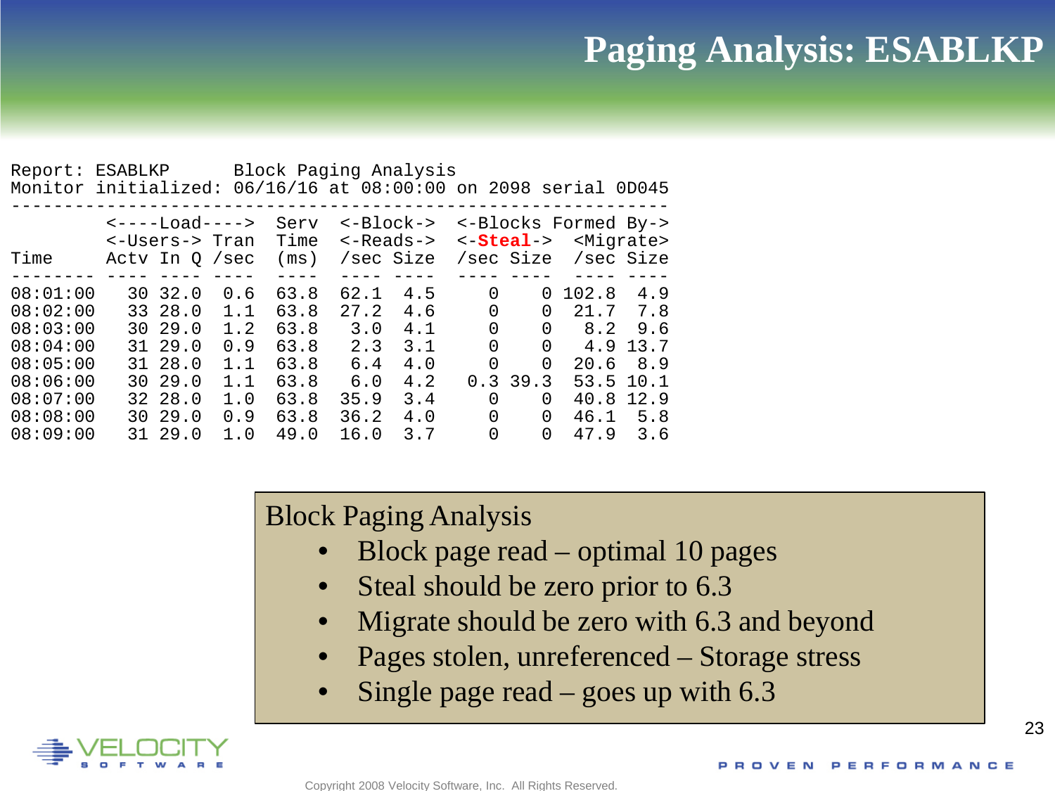## **Paging Analysis: ESABLKP**

| Report:<br>Monitor initialized:                                                                          | ESABLKP                             |                                                                               |                                                             | Block Paging Analysis                                                |                                                                  |                                                             |                                             |                                                               | 06/16/16 at 08:00:00 on 2098 serial 0D045                           |                                                                |
|----------------------------------------------------------------------------------------------------------|-------------------------------------|-------------------------------------------------------------------------------|-------------------------------------------------------------|----------------------------------------------------------------------|------------------------------------------------------------------|-------------------------------------------------------------|---------------------------------------------|---------------------------------------------------------------|---------------------------------------------------------------------|----------------------------------------------------------------|
| Time                                                                                                     |                                     | <----Load----><br><-Users-> Tran<br>Acty In 0 / sec                           |                                                             | Serv<br>Time<br>(ms)                                                 |                                                                  | <-Block-><br><-Reads-><br>/sec Size                         |                                             | $\leftarrow$ Steal-><br>/sec Size                             | <-Blocks Formed By->                                                | <migrate><br/>/sec Size</migrate>                              |
| 08:01:00<br>08:02:00<br>08:03:00<br>08:04:00<br>08:05:00<br>08:06:00<br>08:07:00<br>08:08:00<br>08:09:00 | 30<br>30.<br>31<br>31<br>30.<br>30. | 32.0<br>33 28.0<br>29.0<br>29.0<br>28.0<br>29.0<br>32 28.0<br>29.0<br>31 29.0 | 0.6<br>1.1<br>1.2<br>0.9<br>1.1<br>1.1<br>1.0<br>0.9<br>1.0 | 63.8<br>63.8<br>63.8<br>63.8<br>63.8<br>63.8<br>63.8<br>63.8<br>49.0 | 62.1<br>27.2<br>3.0<br>2.3<br>6.4<br>6.0<br>35.9<br>36.2<br>16.0 | 4.5<br>4.6<br>4.1<br>3.1<br>4.0<br>4.2<br>3.4<br>4.0<br>3.7 | 0<br>0<br>0<br>$\Omega$<br>0<br>0<br>0<br>0 | 0<br>0<br>0<br>0<br>$\Omega$<br>0.339.3<br>0<br>0<br>$\Omega$ | 102.8<br>21.7<br>8.2<br>4.9<br>20.6<br>53.5<br>40.8<br>46.1<br>47.9 | 4.9<br>7.8<br>9.6<br>13.7<br>8.9<br>10.1<br>12.9<br>5.8<br>3.6 |

Block Paging Analysis

- Block page read optimal 10 pages
- Steal should be zero prior to 6.3
- Migrate should be zero with 6.3 and beyond
- Pages stolen, unreferenced Storage stress
- Single page read goes up with  $6.3$

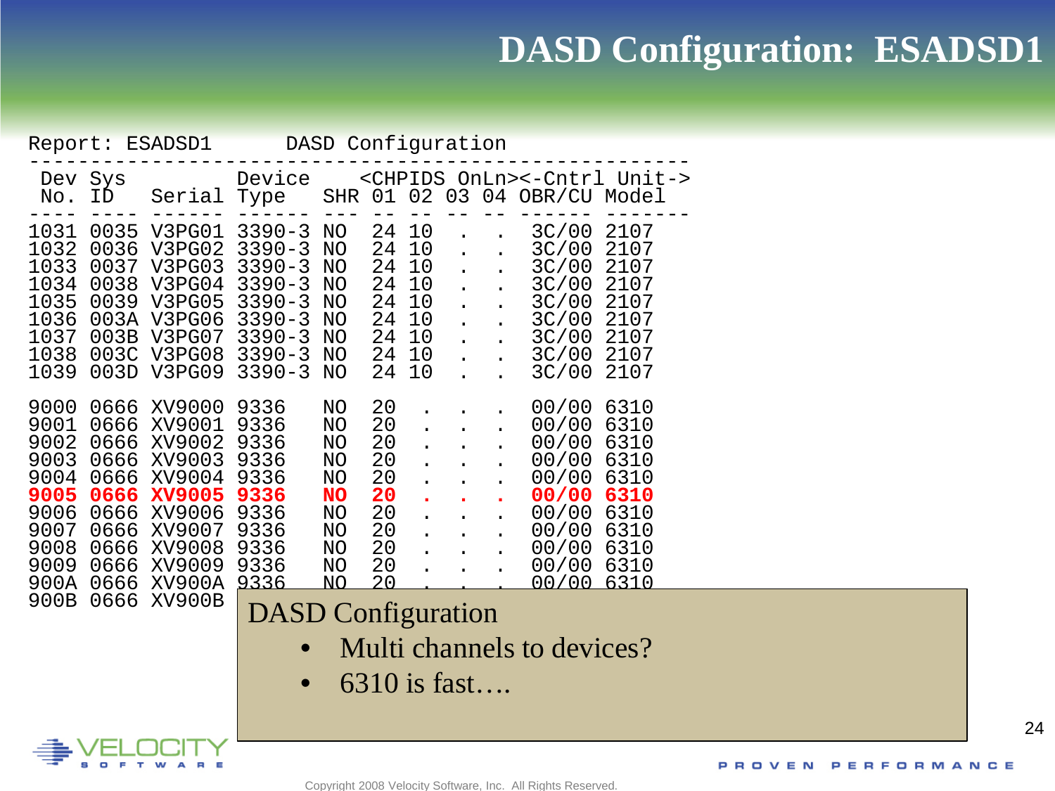## **DASD Configuration: ESADSD1**

|                                                                                      | DASD Configuration<br>Report: ESADSD1                                                |                                                                                                                   |                                                                                                                            |                                                                              |                                                                |                                                    |                                                                                                                              |  |                                                                                                 |                                                                                      |  |
|--------------------------------------------------------------------------------------|--------------------------------------------------------------------------------------|-------------------------------------------------------------------------------------------------------------------|----------------------------------------------------------------------------------------------------------------------------|------------------------------------------------------------------------------|----------------------------------------------------------------|----------------------------------------------------|------------------------------------------------------------------------------------------------------------------------------|--|-------------------------------------------------------------------------------------------------|--------------------------------------------------------------------------------------|--|
| Dev<br>No.                                                                           | Sys<br>ID                                                                            | Serial                                                                                                            | Device<br>Type                                                                                                             | SHR                                                                          | 01                                                             | 02 <sub>o</sub>                                    |                                                                                                                              |  | <chpids onln="">&lt;-Cntrl Unit-&gt;<br/>03 04 OBR/CU Model</chpids>                            |                                                                                      |  |
| 1031<br>1032<br>1033<br>1034<br>1035<br>1036<br>1037<br>1038<br>1039                 | 0035<br>0036<br>0037<br>0038<br>0039<br>003A<br>003B<br>003C<br>003D                 | V3PG01<br>V3PG02<br>V3PG03<br>V3PG04<br>V3PG05<br>V3PG06<br>V3PG07<br>V3PG08<br>V3PG09                            | $3390 - 3$<br>$3390 - 3$<br>$3390 - 3$<br>$3390 - 3$<br>$3390 - 3$<br>$3390 - 3$<br>$3390 - 3$<br>$3390 - 3$<br>$3390 - 3$ | NO<br>NO<br>NO<br>NO<br>NO<br>NO<br>NO<br>NO<br>NO                           | 24<br>24<br>24<br>24<br>24<br>24<br>24<br>24<br>24             | 10<br>10<br>10<br>10<br>10<br>10<br>10<br>10<br>10 | $\ddot{\phantom{a}}$<br>$\ddot{\phantom{a}}$<br>$\mathbf{r}$<br>$\ddot{\phantom{a}}$<br>$\mathbf{L}$<br>$\ddot{\phantom{a}}$ |  | 3C/00<br>3C/00<br>3C/00<br>3C/00<br>3C/00<br>3C/00<br>3C/00<br>3C/00<br>3C/00                   | 2107<br>2107<br>2107<br>2107<br>2107<br>2107<br>2107<br>2107<br>2107                 |  |
| 9000<br>9001<br>9002<br>9003<br>9004<br>9005<br>9006<br>9007<br>9008<br>9009<br>900A | 0666<br>0666<br>0666<br>0666<br>0666<br>0666<br>0666<br>0666<br>0666<br>0666<br>0666 | XV9000<br>XV9001<br>XV9002<br>XV9003<br>XV9004<br><b>XV9005</b><br>XV9006<br>XV9007<br>XV9008<br>XV9009<br>XV900A | 9336<br>9336<br>9336<br>9336<br>9336<br>9336<br>9336<br>9336<br>9336<br>9336<br>9336                                       | NO<br>NO<br>NO<br>NO<br>NO<br><b>NO</b><br>NO<br>NO<br>NO<br>NO<br><u>NO</u> | 20<br>20<br>20<br>20<br>20<br>20<br>20<br>20<br>20<br>20<br>20 |                                                    | $\bullet$<br>$\ddot{\phantom{a}}$                                                                                            |  | 00/00<br>00/00<br>00/00<br>00/00<br>00/00<br>00/00<br>00/00<br>00/00<br>00/00<br>00/00<br>00/00 | 6310<br>6310<br>6310<br>6310<br>6310<br>6310<br>6310<br>6310<br>6310<br>6310<br>6310 |  |
| 900B                                                                                 | 0666                                                                                 | XV900B                                                                                                            | <b>DASD</b> Configuration                                                                                                  |                                                                              |                                                                |                                                    |                                                                                                                              |  |                                                                                                 |                                                                                      |  |
|                                                                                      | Multi channels to devices?                                                           |                                                                                                                   |                                                                                                                            |                                                                              |                                                                |                                                    |                                                                                                                              |  |                                                                                                 |                                                                                      |  |
|                                                                                      | $\mathcal{L}$ 2.10 $\mathcal{L}$ $\mathcal{L}$ $\mathcal{L}$ $\mathcal{L}$           |                                                                                                                   |                                                                                                                            |                                                                              |                                                                |                                                    |                                                                                                                              |  |                                                                                                 |                                                                                      |  |

• 6310 is fast….